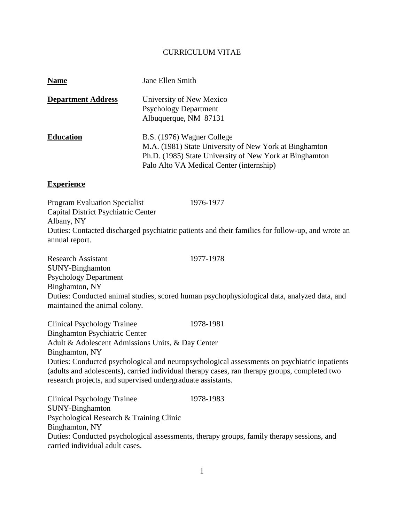### CURRICULUM VITAE

| <b>Name</b>               | Jane Ellen Smith                                                                                                                                                                            |
|---------------------------|---------------------------------------------------------------------------------------------------------------------------------------------------------------------------------------------|
| <b>Department Address</b> | University of New Mexico<br><b>Psychology Department</b><br>Albuquerque, NM 87131                                                                                                           |
| <b>Education</b>          | B.S. (1976) Wagner College<br>M.A. (1981) State University of New York at Binghamton<br>Ph.D. (1985) State University of New York at Binghamton<br>Palo Alto VA Medical Center (internship) |

#### **Experience**

Program Evaluation Specialist 1976-1977 Capital District Psychiatric Center Albany, NY Duties: Contacted discharged psychiatric patients and their families for follow-up, and wrote an annual report.

Research Assistant 1977-1978 SUNY-Binghamton Psychology Department Binghamton, NY Duties: Conducted animal studies, scored human psychophysiological data, analyzed data, and maintained the animal colony.

Clinical Psychology Trainee 1978-1981 Binghamton Psychiatric Center Adult & Adolescent Admissions Units, & Day Center Binghamton, NY Duties: Conducted psychological and neuropsychological assessments on psychiatric inpatients (adults and adolescents), carried individual therapy cases, ran therapy groups, completed two research projects, and supervised undergraduate assistants.

Clinical Psychology Trainee 1978-1983 SUNY-Binghamton Psychological Research & Training Clinic Binghamton, NY Duties: Conducted psychological assessments, therapy groups, family therapy sessions, and carried individual adult cases.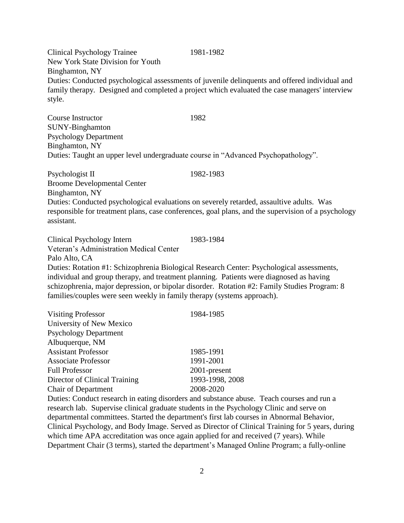2

Clinical Psychology Trainee 1981-1982 New York State Division for Youth Binghamton, NY Duties: Conducted psychological assessments of juvenile delinquents and offered individual and family therapy. Designed and completed a project which evaluated the case managers' interview style.

Course Instructor 1982 SUNY-Binghamton Psychology Department Binghamton, NY Duties: Taught an upper level undergraduate course in "Advanced Psychopathology".

Psychologist II 1982-1983 Broome Developmental Center Binghamton, NY Duties: Conducted psychological evaluations on severely retarded, assaultive adults. Was responsible for treatment plans, case conferences, goal plans, and the supervision of a psychology assistant.

Clinical Psychology Intern 1983-1984 Veteran's Administration Medical Center Palo Alto, CA Duties: Rotation #1: Schizophrenia Biological Research Center: Psychological assessments, individual and group therapy, and treatment planning. Patients were diagnosed as having schizophrenia, major depression, or bipolar disorder. Rotation #2: Family Studies Program: 8 families/couples were seen weekly in family therapy (systems approach).

| <b>Visiting Professor</b>     | 1984-1985       |
|-------------------------------|-----------------|
| University of New Mexico      |                 |
| <b>Psychology Department</b>  |                 |
| Albuquerque, NM               |                 |
| <b>Assistant Professor</b>    | 1985-1991       |
| <b>Associate Professor</b>    | 1991-2001       |
| <b>Full Professor</b>         | 2001-present    |
| Director of Clinical Training | 1993-1998, 2008 |
| <b>Chair of Department</b>    | 2008-2020       |

Duties: Conduct research in eating disorders and substance abuse. Teach courses and run a research lab. Supervise clinical graduate students in the Psychology Clinic and serve on departmental committees. Started the department's first lab courses in Abnormal Behavior, Clinical Psychology, and Body Image. Served as Director of Clinical Training for 5 years, during which time APA accreditation was once again applied for and received (7 years). While Department Chair (3 terms), started the department's Managed Online Program; a fully-online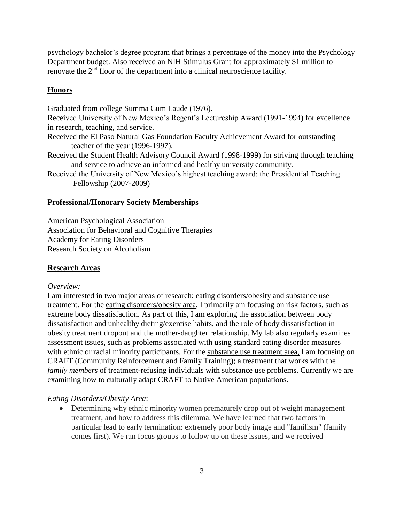psychology bachelor's degree program that brings a percentage of the money into the Psychology Department budget. Also received an NIH Stimulus Grant for approximately \$1 million to renovate the 2nd floor of the department into a clinical neuroscience facility.

## **Honors**

Graduated from college Summa Cum Laude (1976).

Received University of New Mexico's Regent's Lectureship Award (1991-1994) for excellence in research, teaching, and service.

- Received the El Paso Natural Gas Foundation Faculty Achievement Award for outstanding teacher of the year (1996-1997).
- Received the Student Health Advisory Council Award (1998-1999) for striving through teaching and service to achieve an informed and healthy university community.

Received the University of New Mexico's highest teaching award: the Presidential Teaching Fellowship (2007-2009)

## **Professional/Honorary Society Memberships**

American Psychological Association Association for Behavioral and Cognitive Therapies Academy for Eating Disorders Research Society on Alcoholism

## **Research Areas**

#### *Overview:*

I am interested in two major areas of research: eating disorders/obesity and substance use treatment. For the eating disorders/obesity area, I primarily am focusing on risk factors, such as extreme body dissatisfaction. As part of this, I am exploring the association between body dissatisfaction and unhealthy dieting/exercise habits, and the role of body dissatisfaction in obesity treatment dropout and the mother-daughter relationship. My lab also regularly examines assessment issues, such as problems associated with using standard eating disorder measures with ethnic or racial minority participants. For the substance use treatment area, I am focusing on CRAFT (Community Reinforcement and Family Training); a treatment that works with the *family members* of treatment-refusing individuals with substance use problems. Currently we are examining how to culturally adapt CRAFT to Native American populations.

## *Eating Disorders/Obesity Area*:

• Determining why ethnic minority women prematurely drop out of weight management treatment, and how to address this dilemma. We have learned that two factors in particular lead to early termination: extremely poor body image and "familism" (family comes first). We ran focus groups to follow up on these issues, and we received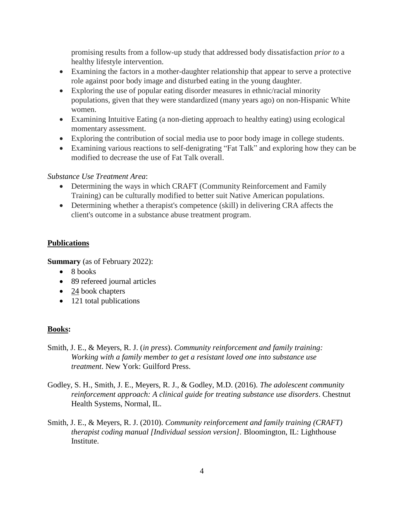promising results from a follow-up study that addressed body dissatisfaction *prior to* a healthy lifestyle intervention.

- Examining the factors in a mother-daughter relationship that appear to serve a protective role against poor body image and disturbed eating in the young daughter.
- Exploring the use of popular eating disorder measures in ethnic/racial minority populations, given that they were standardized (many years ago) on non-Hispanic White women.
- Examining Intuitive Eating (a non-dieting approach to healthy eating) using ecological momentary assessment.
- Exploring the contribution of social media use to poor body image in college students.
- Examining various reactions to self-denigrating "Fat Talk" and exploring how they can be modified to decrease the use of Fat Talk overall.

## *Substance Use Treatment Area*:

- Determining the ways in which CRAFT (Community Reinforcement and Family Training) can be culturally modified to better suit Native American populations.
- Determining whether a therapist's competence (skill) in delivering CRA affects the client's outcome in a substance abuse treatment program.

# **Publications**

**Summary** (as of February 2022):

- 8 books
- 89 refereed journal articles
- 24 book chapters
- 121 total publications

# **Books:**

- Smith, J. E., & Meyers, R. J. (*in press*). *Community reinforcement and family training: Working with a family member to get a resistant loved one into substance use treatment*. New York: Guilford Press.
- Godley, S. H., Smith, J. E., Meyers, R. J., & Godley, M.D. (2016). *The adolescent community reinforcement approach: A clinical guide for treating substance use disorders*. Chestnut Health Systems, Normal, IL.
- Smith, J. E., & Meyers, R. J. (2010). *Community reinforcement and family training (CRAFT) therapist coding manual [Individual session version].* Bloomington, IL: Lighthouse Institute.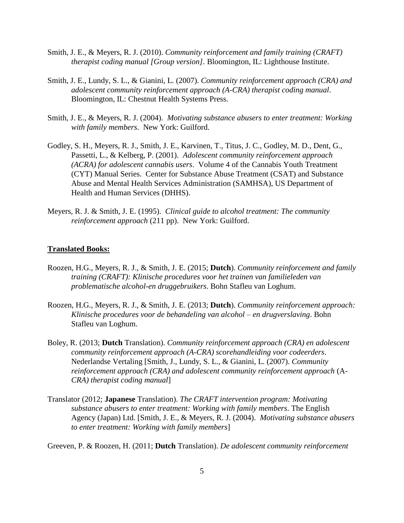- Smith, J. E., & Meyers, R. J. (2010). *Community reinforcement and family training (CRAFT) therapist coding manual [Group version].* Bloomington, IL: Lighthouse Institute.
- Smith, J. E., Lundy, S. L., & Gianini, L. (2007). *Community reinforcement approach (CRA) and adolescent community reinforcement approach (A-CRA) therapist coding manual*. Bloomington, IL: Chestnut Health Systems Press.
- Smith, J. E., & Meyers, R. J. (2004). *Motivating substance abusers to enter treatment: Working with family members*. New York: Guilford.
- Godley, S. H., Meyers, R. J., Smith, J. E., Karvinen, T., Titus, J. C., Godley, M. D., Dent, G., Passetti, L., & Kelberg, P. (2001). *Adolescent community reinforcement approach (ACRA) for adolescent cannabis users*. Volume 4 of the Cannabis Youth Treatment (CYT) Manual Series. Center for Substance Abuse Treatment (CSAT) and Substance Abuse and Mental Health Services Administration (SAMHSA), US Department of Health and Human Services (DHHS).
- Meyers, R. J. & Smith, J. E. (1995). *Clinical guide to alcohol treatment: The community reinforcement approach* (211 pp). New York: Guilford.

#### **Translated Books:**

- Roozen, H.G., Meyers, R. J., & Smith, J. E. (2015; **Dutch**). *Community reinforcement and family training (CRAFT): Klinische procedures voor het trainen van familieleden van problematische alcohol-en druggebruikers*. Bohn Stafleu van Loghum.
- Roozen, H.G., Meyers, R. J., & Smith, J. E. (2013; **Dutch**). *Community reinforcement approach: Klinische procedures voor de behandeling van alcohol – en drugverslaving*. Bohn Stafleu van Loghum.
- Boley, R. (2013; **Dutch** Translation). *Community reinforcement approach (CRA) en adolescent community reinforcement approach (A-CRA) scorehandleiding voor codeerders*. Nederlandse Vertaling [Smith, J., Lundy, S. L., & Gianini, L. (2007). *Community reinforcement approach (CRA) and adolescent community reinforcement approach* (A-*CRA) therapist coding manual*]
- Translator (2012; **Japanese** Translation). *The CRAFT intervention program: Motivating substance abusers to enter treatment: Working with family members*. The English Agency (Japan) Ltd. [Smith, J. E., & Meyers, R. J. (2004). *Motivating substance abusers to enter treatment: Working with family members*]
- Greeven, P. & Roozen, H. (2011; **Dutch** Translation). *De adolescent community reinforcement*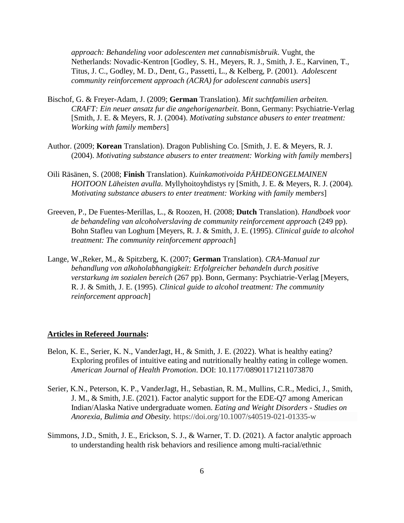*approach: Behandeling voor adolescenten met cannabismisbruik*. Vught, the Netherlands: Novadic-Kentron [Godley, S. H., Meyers, R. J., Smith, J. E., Karvinen, T., Titus, J. C., Godley, M. D., Dent, G., Passetti, L., & Kelberg, P. (2001). *Adolescent community reinforcement approach (ACRA) for adolescent cannabis users*]

- Bischof, G. & Freyer-Adam, J. (2009; **German** Translation). *Mit suchtfamilien arbeiten. CRAFT: Ein neuer ansatz fur die angehorigenarbeit*. Bonn, Germany: Psychiatrie-Verlag [Smith, J. E. & Meyers, R. J. (2004). *Motivating substance abusers to enter treatment: Working with family members*]
- Author. (2009; **Korean** Translation). Dragon Publishing Co. [Smith, J. E. & Meyers, R. J. (2004). *Motivating substance abusers to enter treatment: Working with family members*]
- Oili Räsänen, S. (2008; **Finish** Translation). *Kuinkamotivoida PÄHDEONGELMAINEN HOITOON Läheisten avulla*. Myllyhoitoyhdistys ry [Smith, J. E. & Meyers, R. J. (2004). *Motivating substance abusers to enter treatment: Working with family members*]
- Greeven, P., De Fuentes-Merillas, L., & Roozen, H. (2008; **Dutch** Translation). *Handboek voor de behandeling van alcoholverslaving de community reinforcement approach* (249 pp). Bohn Stafleu van Loghum [Meyers, R. J. & Smith, J. E. (1995). *Clinical guide to alcohol treatment: The community reinforcement approach*]
- Lange, W.,Reker, M., & Spitzberg, K. (2007; **German** Translation). *CRA-Manual zur behandlung von alkoholabhangigkeit: Erfolgreicher behandeln durch positive verstarkung im sozialen bereich* (267 pp). Bonn, Germany: Psychiatrie-Verlag [Meyers, R. J. & Smith, J. E. (1995). *Clinical guide to alcohol treatment: The community reinforcement approach*]

#### **Articles in Refereed Journals:**

- Belon, K. E., Serier, K. N., VanderJagt, H., & Smith, J. E. (2022). What is healthy eating? Exploring profiles of intuitive eating and nutritionally healthy eating in college women. *American Journal of Health Promotion*. DOI: 10.1177/08901171211073870
- Serier, K.N., Peterson, K. P., VanderJagt, H., Sebastian, R. M., Mullins, C.R., Medici, J., Smith, J. M., & Smith, J.E. (2021). Factor analytic support for the EDE-Q7 among American Indian/Alaska Native undergraduate women. *Eating and Weight Disorders - Studies on Anorexia, Bulimia and Obesity.* https://doi.org/10.1007/s40519-021-01335-w
- Simmons, J.D., Smith, J. E., Erickson, S. J., & Warner, T. D. (2021). A factor analytic approach to understanding health risk behaviors and resilience among multi-racial/ethnic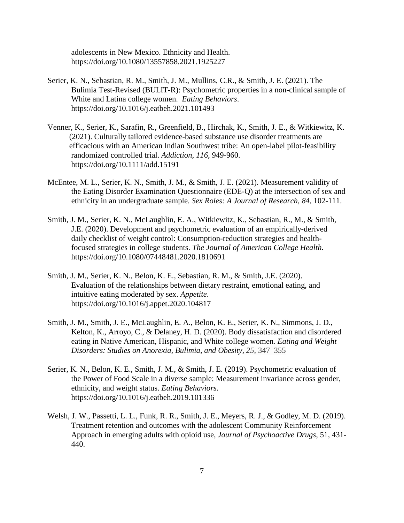adolescents in New Mexico. Ethnicity and Health. https://doi.org/10.1080/13557858.2021.1925227

- Serier, K. N., Sebastian, R. M., Smith, J. M., Mullins, C.R., & Smith, J. E. (2021). The Bulimia Test-Revised (BULIT-R): Psychometric properties in a non-clinical sample of White and Latina college women. *Eating Behaviors*. https://doi.org/10.1016/j.eatbeh.2021.101493
- Venner, K., Serier, K., Sarafin, R., Greenfield, B., Hirchak, K., Smith, J. E., & Witkiewitz, K. (2021). Culturally tailored evidence-based substance use disorder treatments are efficacious with an American Indian Southwest tribe: An open-label pilot-feasibility randomized controlled trial. *Addiction, 116,* 949-960. https://doi.org/10.1111/add.15191
- McEntee, M. L., Serier, K. N., Smith, J. M., & Smith, J. E. (2021). Measurement validity of the Eating Disorder Examination Questionnaire (EDE-Q) at the intersection of sex and ethnicity in an undergraduate sample. *Sex Roles: A Journal of Research*, *84*, 102-111.
- Smith, J. M., Serier, K. N., McLaughlin, E. A., Witkiewitz, K., Sebastian, R., M., & Smith, J.E. (2020). Development and psychometric evaluation of an empirically-derived daily checklist of weight control: Consumption-reduction strategies and healthfocused strategies in college students. *The Journal of American College Health.* https://doi.org/10.1080/07448481.2020.1810691
- Smith, J. M., Serier, K. N., Belon, K. E., Sebastian, R. M., & Smith, J.E. (2020). Evaluation of the relationships between dietary restraint, emotional eating, and intuitive eating moderated by sex. *Appetite*. https://doi.org/10.1016/j.appet.2020.104817
- Smith, J. M., Smith, J. E., McLaughlin, E. A., Belon, K. E., Serier, K. N., Simmons, J. D., Kelton, K., Arroyo, C., & Delaney, H. D. (2020). Body dissatisfaction and disordered eating in Native American, Hispanic, and White college women*. Eating and Weight Disorders: Studies on Anorexia, Bulimia, and Obesity, 25*, 347–355
- Serier, K. N., Belon, K. E., Smith, J. M., & Smith, J. E. (2019). Psychometric evaluation of the Power of Food Scale in a diverse sample: Measurement invariance across gender, ethnicity, and weight status. *Eating Behaviors*. https://doi.org/10.1016/j.eatbeh.2019.101336
- Welsh, J. W., Passetti, L. L., Funk, R. R., Smith, J. E., Meyers, R. J., & Godley, M. D. (2019). Treatment retention and outcomes with the adolescent Community Reinforcement Approach in emerging adults with opioid use, *Journal of Psychoactive Drugs*, 51, 431- 440.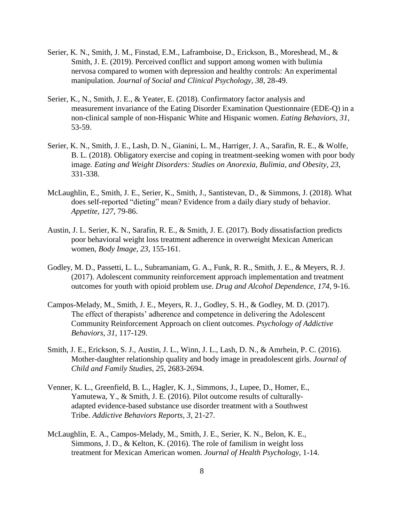- Serier, K. N., Smith, J. M., Finstad, E.M., Laframboise, D., Erickson, B., Moreshead, M., & Smith, J. E. (2019). Perceived conflict and support among women with bulimia nervosa compared to women with depression and healthy controls: An experimental manipulation. *Journal of Social and Clinical Psychology, 38,* 28-49.
- Serier, K., N., Smith, J. E., & Yeater, E. (2018). Confirmatory factor analysis and measurement invariance of the Eating Disorder Examination Questionnaire (EDE-Q) in a non-clinical sample of non-Hispanic White and Hispanic women. *Eating Behaviors, 31,* 53-59.
- Serier, K. N., Smith, J. E., Lash, D. N., Gianini, L. M., Harriger, J. A., Sarafin, R. E., & Wolfe, B. L. (2018). Obligatory exercise and coping in treatment-seeking women with poor body image*. Eating and Weight Disorders: Studies on Anorexia, Bulimia, and Obesity, 23*, 331-338.
- McLaughlin, E., Smith, J. E., Serier, K., Smith, J., Santistevan, D., & Simmons, J. (2018). What does self-reported "dieting" mean? Evidence from a daily diary study of behavior. *Appetite, 127*, 79-86.
- Austin, J. L. Serier, K. N., Sarafin, R. E., & Smith, J. E. (2017). Body dissatisfaction predicts poor behavioral weight loss treatment adherence in overweight Mexican American women, *Body Image, 23*, 155-161.
- Godley, M. D., Passetti, L. L., Subramaniam, G. A., Funk, R. R., Smith, J. E., & Meyers, R. J. (2017). Adolescent community reinforcement approach implementation and treatment outcomes for youth with opioid problem use. *Drug and Alcohol Dependence, 174*, 9-16.
- Campos-Melady, M., Smith, J. E., Meyers, R. J., Godley, S. H., & Godley, M. D. (2017). The effect of therapists' adherence and competence in delivering the Adolescent Community Reinforcement Approach on client outcomes. *Psychology of Addictive Behaviors, 31,* 117-129.
- Smith, J. E., Erickson, S. J., Austin, J. L., Winn, J. L., Lash, D. N., & Amrhein, P. C. (2016). Mother-daughter relationship quality and body image in preadolescent girls. *Journal of Child and Family Studies, 25*, 2683-2694.
- Venner, K. L., Greenfield, B. L., Hagler, K. J., Simmons, J., Lupee, D., Homer, E., Yamutewa, Y., & Smith, J. E. (2016). Pilot outcome results of culturallyadapted evidence-based substance use disorder treatment with a Southwest Tribe. *Addictive Behaviors Reports, 3*, 21-27.
- McLaughlin, E. A., Campos-Melady, M., Smith, J. E., Serier, K. N., Belon, K. E., Simmons, J. D., & Kelton, K. (2016). The role of familism in weight loss treatment for Mexican American women. *Journal of Health Psychology*, 1-14.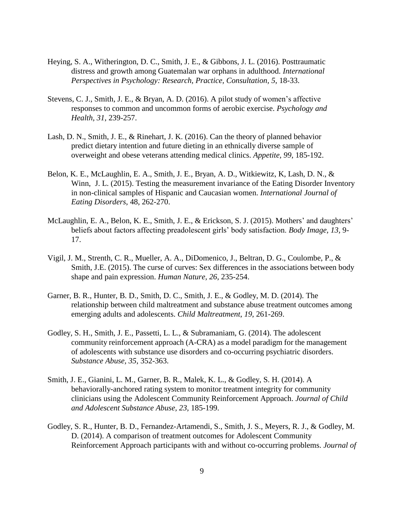- Heying, S. A., Witherington, D. C., Smith, J. E., & Gibbons, J. L. (2016). Posttraumatic distress and growth among Guatemalan war orphans in adulthood. *International Perspectives in Psychology: Research, Practice, Consultation, 5*, 18-33.
- Stevens, C. J., Smith, J. E., & Bryan, A. D. (2016). A pilot study of women's affective responses to common and uncommon forms of aerobic exercise. *Psychology and Health, 31*, 239-257.
- Lash, D. N., Smith, J. E., & Rinehart, J. K. (2016). Can the theory of planned behavior predict dietary intention and future dieting in an ethnically diverse sample of overweight and obese veterans attending medical clinics. *Appetite, 99*, 185-192.
- Belon, K. E., McLaughlin, E. A., Smith, J. E., Bryan, A. D., Witkiewitz, K, Lash, D. N., & Winn, J. L. (2015). Testing the measurement invariance of the Eating Disorder Inventory in non-clinical samples of Hispanic and Caucasian women. *International Journal of Eating Disorders*, 48, 262-270.
- McLaughlin, E. A., Belon, K. E., Smith, J. E., & Erickson, S. J. (2015). Mothers' and daughters' beliefs about factors affecting preadolescent girls' body satisfaction. *Body Image, 13,* 9- 17.
- Vigil, J. M., Strenth, C. R., Mueller, A. A., DiDomenico, J., Beltran, D. G., Coulombe, P., & Smith, J.E. (2015). The curse of curves: Sex differences in the associations between body shape and pain expression. *Human Nature, 26*, 235-254.
- Garner, B. R., Hunter, B. D., Smith, D. C., Smith, J. E., & Godley, M. D. (2014). The relationship between child maltreatment and substance abuse treatment outcomes among emerging adults and adolescents. *Child Maltreatment*, *19*, 261-269.
- Godley, S. H., Smith, J. E., Passetti, L. L., & Subramaniam, G. (2014). The adolescent community reinforcement approach (A-CRA) as a model paradigm for the management of adolescents with substance use disorders and co-occurring psychiatric disorders. *Substance Abuse, 35*, 352-363.
- Smith, J. E., Gianini, L. M., Garner, B. R., Malek, K. L., & Godley, S. H. (2014). A behaviorally-anchored rating system to monitor treatment integrity for community clinicians using the Adolescent Community Reinforcement Approach. *Journal of Child and Adolescent Substance Abuse, 23,* 185-199.
- Godley, S. R., Hunter, B. D., Fernandez-Artamendi, S., Smith, J. S., Meyers, R. J., & Godley, M. D. (2014). A comparison of treatment outcomes for Adolescent Community Reinforcement Approach participants with and without co-occurring problems. *Journal of*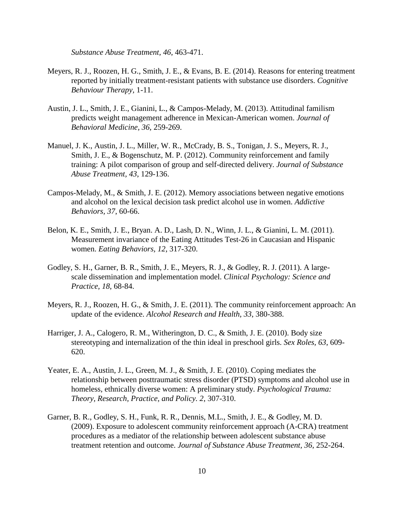*Substance Abuse Treatment, 46*, 463-471.

- Meyers, R. J., Roozen, H. G., Smith, J. E., & Evans, B. E. (2014). Reasons for entering treatment reported by initially treatment-resistant patients with substance use disorders. *Cognitive Behaviour Therapy,* 1-11.
- Austin, J. L., Smith, J. E., Gianini, L., & Campos-Melady, M. (2013). Attitudinal familism predicts weight management adherence in Mexican-American women. *Journal of Behavioral Medicine, 36*, 259-269.
- Manuel, J. K., Austin, J. L., Miller, W. R., McCrady, B. S., Tonigan, J. S., Meyers, R. J., Smith, J. E., & Bogenschutz, M. P. (2012). Community reinforcement and family training: A pilot comparison of group and self-directed delivery. *Journal of Substance Abuse Treatment, 43*, 129-136.
- Campos-Melady, M., & Smith, J. E. (2012). Memory associations between negative emotions and alcohol on the lexical decision task predict alcohol use in women. *Addictive Behaviors, 37*, 60-66.
- Belon, K. E., Smith, J. E., Bryan. A. D., Lash, D. N., Winn, J. L., & Gianini, L. M. (2011). Measurement invariance of the Eating Attitudes Test-26 in Caucasian and Hispanic women. *Eating Behaviors, 12*, 317-320.
- Godley, S. H., Garner, B. R., Smith, J. E., Meyers, R. J., & Godley, R. J. (2011). A largescale dissemination and implementation model. *Clinical Psychology: Science and Practice, 18*, 68-84.
- Meyers, R. J., Roozen, H. G., & Smith, J. E. (2011). The community reinforcement approach: An update of the evidence. *Alcohol Research and Health, 33*, 380-388.
- Harriger, J. A., Calogero, R. M., Witherington, D. C., & Smith, J. E. (2010). Body size stereotyping and internalization of the thin ideal in preschool girls. *Sex Roles, 63*, 609- 620.
- Yeater, E. A., Austin, J. L., Green, M. J., & Smith, J. E. (2010). Coping mediates the relationship between posttraumatic stress disorder (PTSD) symptoms and alcohol use in homeless, ethnically diverse women: A preliminary study. *Psychological Trauma: Theory, Research, Practice, and Policy. 2*, 307-310.
- Garner, B. R., Godley, S. H., Funk, R. R., Dennis, M.L., Smith, J. E., & Godley, M. D. (2009). Exposure to adolescent community reinforcement approach (A-CRA) treatment procedures as a mediator of the relationship between adolescent substance abuse treatment retention and outcome. *Journal of Substance Abuse Treatment, 36*, 252-264.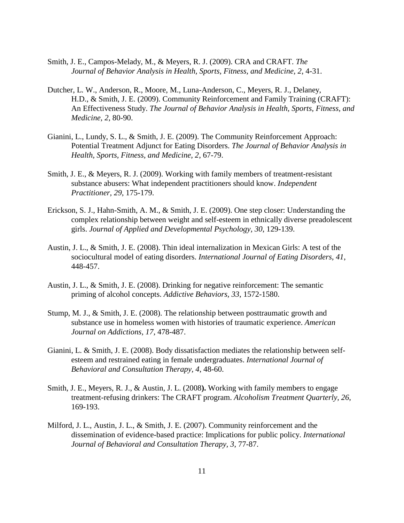- Smith, J. E., Campos-Melady, M., & Meyers, R. J. (2009). CRA and CRAFT. *The Journal of Behavior Analysis in Health, Sports, Fitness, and Medicine, 2*, 4-31.
- Dutcher, L. W., Anderson, R., Moore, M., Luna-Anderson, C., Meyers, R. J., Delaney, H.D., & Smith, J. E. (2009). Community Reinforcement and Family Training (CRAFT): An Effectiveness Study. *The Journal of Behavior Analysis in Health, Sports, Fitness, and Medicine, 2*, 80-90.
- Gianini, L., Lundy, S. L., & Smith, J. E. (2009). The Community Reinforcement Approach: Potential Treatment Adjunct for Eating Disorders. *The Journal of Behavior Analysis in Health, Sports, Fitness, and Medicine, 2*, 67-79.
- Smith, J. E., & Meyers, R. J. (2009). Working with family members of treatment-resistant substance abusers: What independent practitioners should know. *Independent Practitioner, 29*, 175-179.
- Erickson, S. J., Hahn-Smith, A. M., & Smith, J. E. (2009). One step closer: Understanding the complex relationship between weight and self-esteem in ethnically diverse preadolescent girls. *Journal of Applied and Developmental Psychology, 30*, 129-139.
- Austin, J. L., & Smith, J. E. (2008). Thin ideal internalization in Mexican Girls: A test of the sociocultural model of eating disorders. *International Journal of Eating Disorders, 41*, 448-457.
- Austin, J. L., & Smith, J. E. (2008). Drinking for negative reinforcement: The semantic priming of alcohol concepts. *Addictive Behaviors, 33*, 1572-1580.
- Stump, M. J., & Smith, J. E. (2008). The relationship between posttraumatic growth and substance use in homeless women with histories of traumatic experience. *American Journal on Addictions, 17*, 478-487.
- Gianini, L. & Smith, J. E. (2008). Body dissatisfaction mediates the relationship between selfesteem and restrained eating in female undergraduates. *International Journal of Behavioral and Consultation Therapy, 4*, 48-60.
- Smith, J. E., Meyers, R. J., & Austin, J. L. (2008**).** Working with family members to engage treatment-refusing drinkers: The CRAFT program. *Alcoholism Treatment Quarterly, 26*, 169-193.
- Milford, J. L., Austin, J. L., & Smith, J. E. (2007). Community reinforcement and the dissemination of evidence-based practice: Implications for public policy. *International Journal of Behavioral and Consultation Therapy, 3*, 77-87.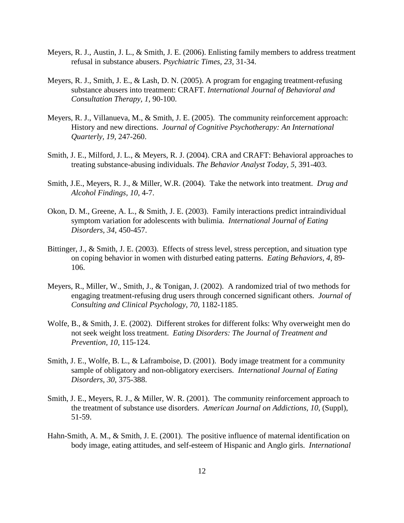- Meyers, R. J., Austin, J. L., & Smith, J. E. (2006). Enlisting family members to address treatment refusal in substance abusers. *Psychiatric Times, 23,* 31-34.
- Meyers, R. J., Smith, J. E., & Lash, D. N. (2005). A program for engaging treatment-refusing substance abusers into treatment: CRAFT. *International Journal of Behavioral and Consultation Therapy, 1*, 90-100.
- Meyers, R. J., Villanueva, M., & Smith, J. E. (2005). The community reinforcement approach: History and new directions. *Journal of Cognitive Psychotherapy: An International Quarterly, 19,* 247-260.
- Smith, J. E., Milford, J. L., & Meyers, R. J. (2004). CRA and CRAFT: Behavioral approaches to treating substance-abusing individuals. *The Behavior Analyst Today, 5,* 391-403.
- Smith, J.E., Meyers, R. J., & Miller, W.R. (2004). Take the network into treatment. *Drug and Alcohol Findings, 10*, 4-7.
- Okon, D. M., Greene, A. L., & Smith, J. E. (2003). Family interactions predict intraindividual symptom variation for adolescents with bulimia*. International Journal of Eating Disorders, 34*, 450-457.
- Bittinger, J., & Smith, J. E. (2003). Effects of stress level, stress perception, and situation type on coping behavior in women with disturbed eating patterns. *Eating Behaviors, 4*, 89- 106.
- Meyers, R., Miller, W., Smith, J., & Tonigan, J. (2002). A randomized trial of two methods for engaging treatment-refusing drug users through concerned significant others. *Journal of Consulting and Clinical Psychology, 70*, 1182-1185.
- Wolfe, B., & Smith, J. E. (2002). Different strokes for different folks: Why overweight men do not seek weight loss treatment. *Eating Disorders: The Journal of Treatment and Prevention, 10*, 115-124.
- Smith, J. E., Wolfe, B. L., & Laframboise, D. (2001). Body image treatment for a community sample of obligatory and non-obligatory exercisers. *International Journal of Eating Disorders, 30*, 375-388.
- Smith, J. E., Meyers, R. J., & Miller, W. R. (2001). The community reinforcement approach to the treatment of substance use disorders. *American Journal on Addictions, 10*, (Suppl), 51-59.
- Hahn-Smith, A. M., & Smith, J. E. (2001). The positive influence of maternal identification on body image, eating attitudes, and self-esteem of Hispanic and Anglo girls. *International*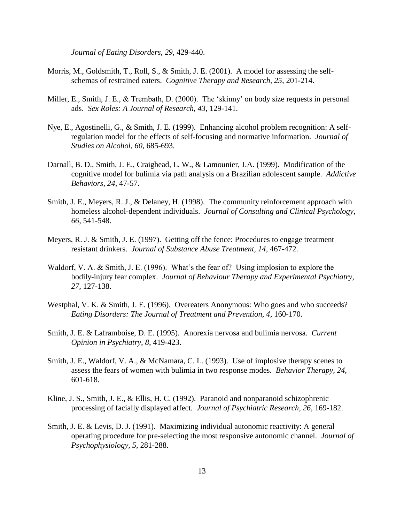*Journal of Eating Disorders, 29*, 429-440.

- Morris, M., Goldsmith, T., Roll, S., & Smith, J. E. (2001). A model for assessing the selfschemas of restrained eaters. *Cognitive Therapy and Research, 25*, 201-214.
- Miller, E., Smith, J. E., & Trembath, D. (2000). The 'skinny' on body size requests in personal ads. *Sex Roles: A Journal of Research, 43*, 129-141.
- Nye, E., Agostinelli, G., & Smith, J. E. (1999). Enhancing alcohol problem recognition: A selfregulation model for the effects of self-focusing and normative information. *Journal of Studies on Alcohol, 60*, 685-693.
- Darnall, B. D., Smith, J. E., Craighead, L. W., & Lamounier, J.A. (1999). Modification of the cognitive model for bulimia via path analysis on a Brazilian adolescent sample. *Addictive Behaviors, 24*, 47-57.
- Smith, J. E., Meyers, R. J., & Delaney, H. (1998). The community reinforcement approach with homeless alcohol-dependent individuals. *Journal of Consulting and Clinical Psychology, 66*, 541-548.
- Meyers, R. J. & Smith, J. E. (1997). Getting off the fence: Procedures to engage treatment resistant drinkers. *Journal of Substance Abuse Treatment, 14*, 467-472.
- Waldorf, V. A. & Smith, J. E. (1996). What's the fear of? Using implosion to explore the bodily-injury fear complex. *Journal of Behaviour Therapy and Experimental Psychiatry, 27*, 127-138.
- Westphal, V. K. & Smith, J. E. (1996). Overeaters Anonymous: Who goes and who succeeds? *Eating Disorders: The Journal of Treatment and Prevention, 4*, 160-170.
- Smith, J. E. & Laframboise, D. E. (1995). Anorexia nervosa and bulimia nervosa. *Current Opinion in Psychiatry, 8*, 419-423.
- Smith, J. E., Waldorf, V. A., & McNamara, C. L. (1993). Use of implosive therapy scenes to assess the fears of women with bulimia in two response modes. *Behavior Therapy, 24*, 601-618.
- Kline, J. S., Smith, J. E., & Ellis, H. C. (1992). Paranoid and nonparanoid schizophrenic processing of facially displayed affect*. Journal of Psychiatric Research, 26*, 169-182.
- Smith, J. E. & Levis, D. J. (1991). Maximizing individual autonomic reactivity: A general operating procedure for pre-selecting the most responsive autonomic channel. *Journal of Psychophysiology, 5*, 281-288.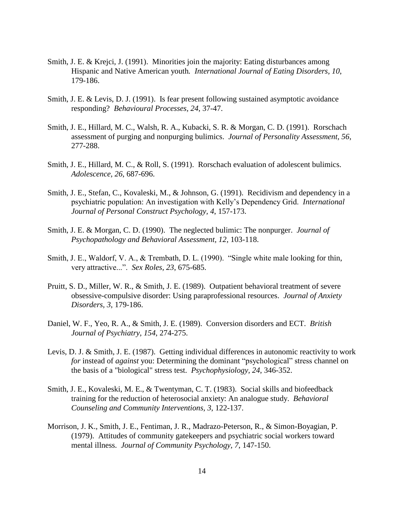- Smith, J. E. & Krejci, J. (1991). Minorities join the majority: Eating disturbances among Hispanic and Native American youth*. International Journal of Eating Disorders, 10*, 179-186.
- Smith, J. E. & Levis, D. J. (1991). Is fear present following sustained asymptotic avoidance responding? *Behavioural Processes, 24*, 37-47.
- Smith, J. E., Hillard, M. C., Walsh, R. A., Kubacki, S. R. & Morgan, C. D. (1991). Rorschach assessment of purging and nonpurging bulimics. *Journal of Personality Assessment, 56*, 277-288.
- Smith, J. E., Hillard, M. C., & Roll, S. (1991). Rorschach evaluation of adolescent bulimics. *Adolescence, 26*, 687-696.
- Smith, J. E., Stefan, C., Kovaleski, M., & Johnson, G. (1991). Recidivism and dependency in a psychiatric population: An investigation with Kelly's Dependency Grid. *International Journal of Personal Construct Psychology, 4*, 157-173.
- Smith, J. E. & Morgan, C. D. (1990). The neglected bulimic: The nonpurger. *Journal of Psychopathology and Behavioral Assessment, 12*, 103-118.
- Smith, J. E., Waldorf, V. A., & Trembath, D. L. (1990). "Single white male looking for thin, very attractive...". *Sex Roles, 23*, 675-685.
- Pruitt, S. D., Miller, W. R., & Smith, J. E. (1989). Outpatient behavioral treatment of severe obsessive-compulsive disorder: Using paraprofessional resources. *Journal of Anxiety Disorders, 3*, 179-186.
- Daniel, W. F., Yeo, R. A., & Smith, J. E. (1989). Conversion disorders and ECT. *British Journal of Psychiatry, 154*, 274-275.
- Levis, D. J. & Smith, J. E. (1987). Getting individual differences in autonomic reactivity to work *for* instead of *against* you: Determining the dominant "psychological" stress channel on the basis of a "biological" stress test. *Psychophysiology, 24*, 346-352.
- Smith, J. E., Kovaleski, M. E., & Twentyman, C. T. (1983). Social skills and biofeedback training for the reduction of heterosocial anxiety: An analogue study. *Behavioral Counseling and Community Interventions, 3*, 122-137.
- Morrison, J. K., Smith, J. E., Fentiman, J. R., Madrazo-Peterson, R., & Simon-Boyagian, P. (1979). Attitudes of community gatekeepers and psychiatric social workers toward mental illness. *Journal of Community Psychology, 7*, 147-150.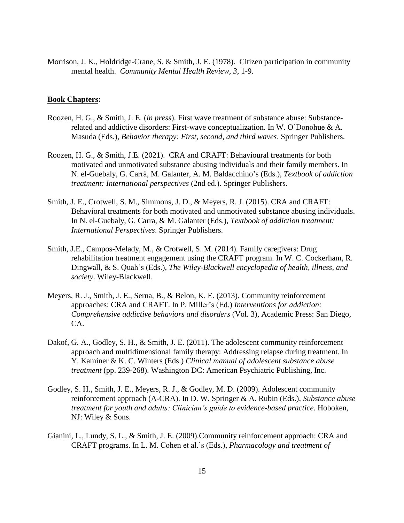Morrison, J. K., Holdridge-Crane, S. & Smith, J. E. (1978). Citizen participation in community mental health. *Community Mental Health Review, 3*, 1-9.

#### **Book Chapters:**

- Roozen, H. G., & Smith, J. E. (*in press*). First wave treatment of substance abuse: Substancerelated and addictive disorders: First-wave conceptualization. In W. O'Donohue & A. Masuda (Eds.), *Behavior therapy: First, second, and third waves*. Springer Publishers.
- Roozen, H. G., & Smith, J.E. (2021). CRA and CRAFT: Behavioural treatments for both motivated and unmotivated substance abusing individuals and their family members. In [N. el-Guebaly,](https://www.amazon.com/s/ref=dp_byline_sr_book_1?ie=UTF8&field-author=Nady+el-Guebaly&text=Nady+el-Guebaly&sort=relevancerank&search-alias=books) [G. Carrà,](https://www.amazon.com/s/ref=dp_byline_sr_book_2?ie=UTF8&field-author=Giuseppe+Carr%C3%A0&text=Giuseppe+Carr%C3%A0&sort=relevancerank&search-alias=books) [M. Galanter,](https://www.amazon.com/s/ref=dp_byline_sr_book_3?ie=UTF8&field-author=Marc+Galanter&text=Marc+Galanter&sort=relevancerank&search-alias=books) A. M. [Baldacchino'](https://www.amazon.com/s/ref=dp_byline_sr_book_4?ie=UTF8&field-author=Alexander+M.+Baldacchino&text=Alexander+M.+Baldacchino&sort=relevancerank&search-alias=books)s (Eds.), *Textbook of addiction treatment: International perspectives* (2nd ed.). Springer Publishers.
- Smith, J. E., Crotwell, S. M., Simmons, J. D., & Meyers, R. J. (2015). CRA and CRAFT: Behavioral treatments for both motivated and unmotivated substance abusing individuals. In N. el-Guebaly, G. Carra, & M. Galanter (Eds.), *Textbook of addiction treatment: International Perspectives*. Springer Publishers.
- Smith, J.E., Campos-Melady, M., & Crotwell, S. M. (2014). Family caregivers: Drug rehabilitation treatment engagement using the CRAFT program. In W. C. Cockerham, R. Dingwall, & S. Quah's (Eds.), *The Wiley-Blackwell encyclopedia of health, illness, and society*. Wiley-Blackwell.
- Meyers, R. J., Smith, J. E., Serna, B., & Belon, K. E. (2013). Community reinforcement approaches: CRA and CRAFT. In P. Miller's (Ed.) *Interventions for addiction: Comprehensive addictive behaviors and disorders* (Vol. 3), Academic Press: San Diego, CA.
- Dakof, G. A., Godley, S. H., & Smith, J. E. (2011). The adolescent community reinforcement approach and multidimensional family therapy: Addressing relapse during treatment. In Y. Kaminer & K. C. Winters (Eds.) *Clinical manual of adolescent substance abuse treatment* (pp. 239-268). Washington DC: American Psychiatric Publishing, Inc.
- Godley, S. H., Smith, J. E., Meyers, R. J., & Godley, M. D. (2009). Adolescent community reinforcement approach (A-CRA). In D. W. Springer & A. Rubin (Eds.), *Substance abuse treatment for youth and adults: Clinician's guide to evidence-based practice*. Hoboken, NJ: Wiley & Sons.
- Gianini, L., Lundy, S. L., & Smith, J. E. (2009).Community reinforcement approach: CRA and CRAFT programs. In L. M. Cohen et al.'s (Eds.), *Pharmacology and treatment of*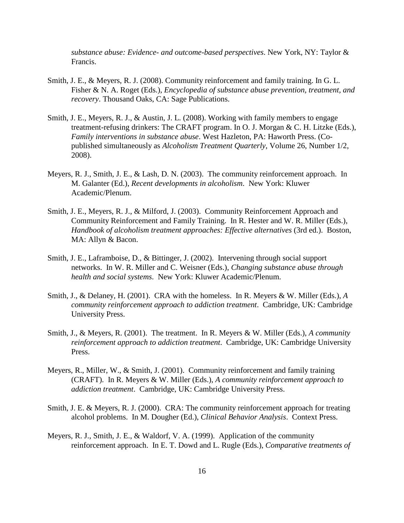*substance abuse: Evidence- and outcome-based perspectives*. New York, NY: Taylor & Francis.

- Smith, J. E., & Meyers, R. J. (2008). Community reinforcement and family training. In G. L. Fisher & N. A. Roget (Eds.), *Encyclopedia of substance abuse prevention, treatment, and recovery*. Thousand Oaks, CA: Sage Publications.
- Smith, J. E., Meyers, R. J., & Austin, J. L. (2008). Working with family members to engage treatment-refusing drinkers: The CRAFT program. In O. J. Morgan & C. H. Litzke (Eds.), *Family interventions in substance abuse*. West Hazleton, PA: Haworth Press. (Copublished simultaneously as *Alcoholism Treatment Quarterly*, Volume 26, Number 1/2, 2008).
- Meyers, R. J., Smith, J. E., & Lash, D. N. (2003). The community reinforcement approach. In M. Galanter (Ed.), *Recent developments in alcoholism*. New York: Kluwer Academic/Plenum.
- Smith, J. E., Meyers, R. J., & Milford, J. (2003). Community Reinforcement Approach and Community Reinforcement and Family Training. In R. Hester and W. R. Miller (Eds.), *Handbook of alcoholism treatment approaches: Effective alternatives* (3rd ed.). Boston, MA: Allyn & Bacon.
- Smith, J. E., Laframboise, D., & Bittinger, J. (2002). Intervening through social support networks. In W. R. Miller and C. Weisner (Eds.), *Changing substance abuse through health and social systems*. New York: Kluwer Academic/Plenum.
- Smith, J., & Delaney, H. (2001). CRA with the homeless. In R. Meyers & W. Miller (Eds.), *A community reinforcement approach to addiction treatment*. Cambridge, UK: Cambridge University Press.
- Smith, J., & Meyers, R. (2001). The treatment. In R. Meyers & W. Miller (Eds.), *A community reinforcement approach to addiction treatment*. Cambridge, UK: Cambridge University Press.
- Meyers, R., Miller, W., & Smith, J. (2001). Community reinforcement and family training (CRAFT). In R. Meyers & W. Miller (Eds.), *A community reinforcement approach to addiction treatment*. Cambridge, UK: Cambridge University Press.
- Smith, J. E. & Meyers, R. J. (2000). CRA: The community reinforcement approach for treating alcohol problems. In M. Dougher (Ed.), *Clinical Behavior Analysis*. Context Press.
- Meyers, R. J., Smith, J. E., & Waldorf, V. A. (1999). Application of the community reinforcement approach. In E. T. Dowd and L. Rugle (Eds.), *Comparative treatments of*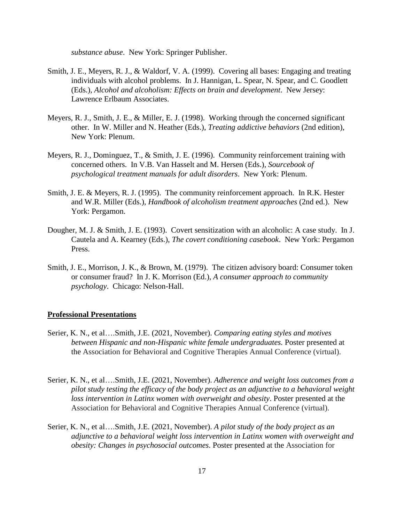*substance abuse*. New York: Springer Publisher.

- Smith, J. E., Meyers, R. J., & Waldorf, V. A. (1999). Covering all bases: Engaging and treating individuals with alcohol problems. In J. Hannigan, L. Spear, N. Spear, and C. Goodlett (Eds.), *Alcohol and alcoholism: Effects on brain and development*. New Jersey: Lawrence Erlbaum Associates.
- Meyers, R. J., Smith, J. E., & Miller, E. J. (1998). Working through the concerned significant other. In W. Miller and N. Heather (Eds.), *Treating addictive behaviors* (2nd edition), New York: Plenum.
- Meyers, R. J., Dominguez, T., & Smith, J. E. (1996). Community reinforcement training with concerned others. In V.B. Van Hasselt and M. Hersen (Eds.), *Sourcebook of psychological treatment manuals for adult disorders*. New York: Plenum.
- Smith, J. E. & Meyers, R. J. (1995). The community reinforcement approach. In R.K. Hester and W.R. Miller (Eds.), *Handbook of alcoholism treatment approaches* (2nd ed.). New York: Pergamon.
- Dougher, M. J. & Smith, J. E. (1993). Covert sensitization with an alcoholic: A case study. In J. Cautela and A. Kearney (Eds.), *The covert conditioning casebook*. New York: Pergamon Press.
- Smith, J. E., Morrison, J. K., & Brown, M. (1979). The citizen advisory board: Consumer token or consumer fraud? In J. K. Morrison (Ed.), *A consumer approach to community psychology*. Chicago: Nelson-Hall.

#### **Professional Presentations**

- Serier, K. N., et al….Smith, J.E. (2021, November). *Comparing eating styles and motives between Hispanic and non-Hispanic white female undergraduates.* Poster presented at the Association for Behavioral and Cognitive Therapies Annual Conference (virtual).
- Serier, K. N., et al….Smith, J.E. (2021, November). *Adherence and weight loss outcomes from a pilot study testing the efficacy of the body project as an adjunctive to a behavioral weight loss intervention in Latinx women with overweight and obesity*. Poster presented at the Association for Behavioral and Cognitive Therapies Annual Conference (virtual).
- Serier, K. N., et al….Smith, J.E. (2021, November). *A pilot study of the body project as an adjunctive to a behavioral weight loss intervention in Latinx women with overweight and obesity: Changes in psychosocial outcomes*. Poster presented at the Association for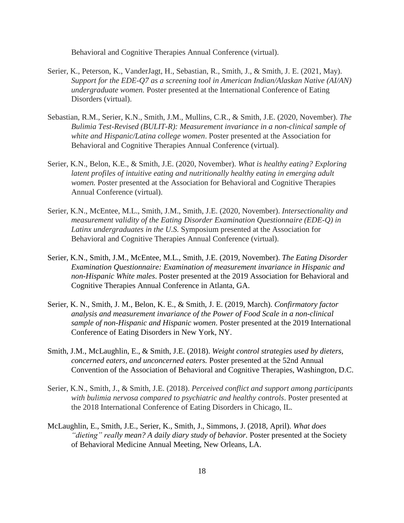Behavioral and Cognitive Therapies Annual Conference (virtual).

- Serier, K., Peterson, K., VanderJagt, H., Sebastian, R., Smith, J., & Smith, J. E. (2021, May). *Support for the EDE-Q7 as a screening tool in American Indian/Alaskan Native (AI/AN) undergraduate women.* Poster presented at the International Conference of Eating Disorders (virtual).
- Sebastian, R.M., Serier, K.N., Smith, J.M., Mullins, C.R., & Smith, J.E. (2020, November). *The Bulimia Test-Revised (BULIT-R): Measurement invariance in a non-clinical sample of white and Hispanic/Latina college women*. Poster presented at the Association for Behavioral and Cognitive Therapies Annual Conference (virtual).
- Serier, K.N., Belon, K.E., & Smith, J.E. (2020, November). *What is healthy eating? Exploring latent profiles of intuitive eating and nutritionally healthy eating in emerging adult women.* Poster presented at the Association for Behavioral and Cognitive Therapies Annual Conference (virtual).
- Serier, K.N., McEntee, M.L., Smith, J.M., Smith, J.E. (2020, November). *Intersectionality and measurement validity of the Eating Disorder Examination Questionnaire (EDE-Q) in Latinx undergraduates in the U.S.* Symposium presented at the Association for Behavioral and Cognitive Therapies Annual Conference (virtual).
- Serier, K.N., Smith, J.M., McEntee, M.L., Smith, J.E. (2019, November). *The Eating Disorder Examination Questionnaire: Examination of measurement invariance in Hispanic and non-Hispanic White males*. Poster presented at the 2019 Association for Behavioral and Cognitive Therapies Annual Conference in Atlanta, GA.
- Serier, K. N., Smith, J. M., Belon, K. E., & Smith, J. E. (2019, March). *Confirmatory factor analysis and measurement invariance of the Power of Food Scale in a non-clinical sample of non-Hispanic and Hispanic women*. Poster presented at the 2019 International Conference of Eating Disorders in New York, NY.
- Smith, J.M., McLaughlin, E., & Smith, J.E. (2018). *Weight control strategies used by dieters, concerned eaters, and unconcerned eaters.* Poster presented at the 52nd Annual Convention of the Association of Behavioral and Cognitive Therapies, Washington, D.C.
- Serier, K.N., Smith, J., & Smith, J.E. (2018). *Perceived conflict and support among participants with bulimia nervosa compared to psychiatric and healthy controls*. Poster presented at the 2018 International Conference of Eating Disorders in Chicago, IL.
- McLaughlin, E., Smith, J.E., Serier, K., Smith, J., Simmons, J. (2018, April). *What does "dieting" really mean? A daily diary study of behavior.* Poster presented at the Society of Behavioral Medicine Annual Meeting, New Orleans, LA.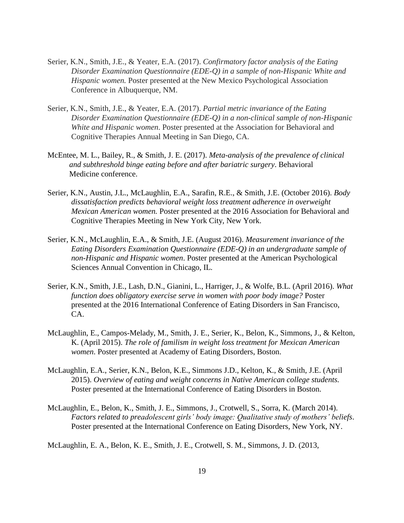- Serier, K.N., Smith, J.E., & Yeater, E.A. (2017). *Confirmatory factor analysis of the Eating Disorder Examination Questionnaire (EDE-Q) in a sample of non-Hispanic White and Hispanic women.* Poster presented at the New Mexico Psychological Association Conference in Albuquerque, NM.
- Serier, K.N., Smith, J.E., & Yeater, E.A. (2017). *Partial metric invariance of the Eating Disorder Examination Questionnaire (EDE-Q) in a non-clinical sample of non-Hispanic White and Hispanic women*. Poster presented at the Association for Behavioral and Cognitive Therapies Annual Meeting in San Diego, CA.
- McEntee, M. L., Bailey, R., & Smith, J. E. (2017). *Meta-analysis of the prevalence of clinical and subthreshold binge eating before and after bariatric surgery*. Behavioral Medicine conference.
- Serier, K.N., Austin, J.L., McLaughlin, E.A., Sarafin, R.E., & Smith, J.E. (October 2016). *Body dissatisfaction predicts behavioral weight loss treatment adherence in overweight Mexican American women.* Poster presented at the 2016 Association for Behavioral and Cognitive Therapies Meeting in New York City, New York.
- Serier, K.N., McLaughlin, E.A., & Smith, J.E. (August 2016). *Measurement invariance of the Eating Disorders Examination Questionnaire (EDE-Q) in an undergraduate sample of non-Hispanic and Hispanic women*. Poster presented at the American Psychological Sciences Annual Convention in Chicago, IL.
- Serier, K.N., Smith, J.E., Lash, D.N., Gianini, L., Harriger, J., & Wolfe, B.L. (April 2016). *What function does obligatory exercise serve in women with poor body image?* Poster presented at the 2016 International Conference of Eating Disorders in San Francisco, CA.
- McLaughlin, E., Campos-Melady, M., Smith, J. E., Serier, K., Belon, K., Simmons, J., & Kelton, K. (April 2015). *The role of familism in weight loss treatment for Mexican American women*. Poster presented at Academy of Eating Disorders, Boston.
- McLaughlin, E.A., Serier, K.N., Belon, K.E., Simmons J.D., Kelton, K., & Smith, J.E. (April 2015). *Overview of eating and weight concerns in Native American college students.* Poster presented at the International Conference of Eating Disorders in Boston.
- McLaughlin, E., Belon, K., Smith, J. E., Simmons, J., Crotwell, S., Sorra, K. (March 2014). *Factors related to preadolescent girls' body image: Qualitative study of mothers' beliefs*. Poster presented at the International Conference on Eating Disorders, New York, NY.

McLaughlin, E. A., Belon, K. E., Smith, J. E., Crotwell, S. M., Simmons, J. D. (2013,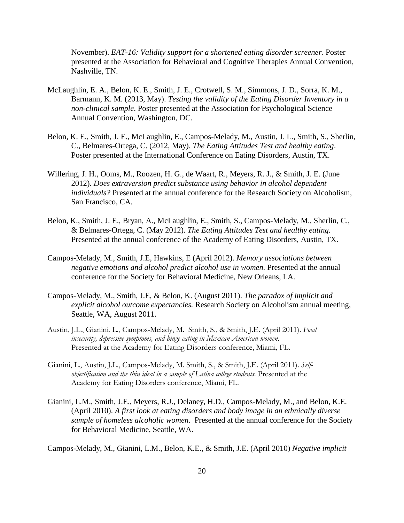November). *EAT-16: Validity support for a shortened eating disorder screener*. Poster presented at the Association for Behavioral and Cognitive Therapies Annual Convention, Nashville, TN.

- McLaughlin, E. A., Belon, K. E., Smith, J. E., Crotwell, S. M., Simmons, J. D., Sorra, K. M., Barmann, K. M. (2013, May). *Testing the validity of the Eating Disorder Inventory in a non-clinical sample*. Poster presented at the Association for Psychological Science Annual Convention, Washington, DC.
- Belon, K. E., Smith, J. E., McLaughlin, E., Campos-Melady, M., Austin, J. L., Smith, S., Sherlin, C., Belmares-Ortega, C. (2012, May). *The Eating Attitudes Test and healthy eating*. Poster presented at the International Conference on Eating Disorders, Austin, TX.
- Willering, J. H., Ooms, M., Roozen, H. G., de Waart, R., Meyers, R. J., & Smith, J. E. (June 2012). *Does extraversion predict substance using behavior in alcohol dependent individuals?* Presented at the annual conference for the Research Society on Alcoholism, San Francisco, CA.
- Belon, K., Smith, J. E., Bryan, A., McLaughlin, E., Smith, S., Campos-Melady, M., Sherlin, C., & Belmares-Ortega, C. (May 2012). *The Eating Attitudes Test and healthy eating.* Presented at the annual conference of the Academy of Eating Disorders, Austin, TX.
- Campos-Melady, M., Smith, J.E, Hawkins, E (April 2012). *Memory associations between negative emotions and alcohol predict alcohol use in women.* Presented at the annual conference for the Society for Behavioral Medicine, New Orleans, LA.
- Campos-Melady, M., Smith, J.E, & Belon, K. (August 2011). *The paradox of implicit and explicit alcohol outcome expectancies.* Research Society on Alcoholism annual meeting, Seattle, WA, August 2011.
- Austin, J.L., Gianini, L., Campos-Melady, M. Smith, S., & Smith, J.E. (April 2011). *Food insecurity, depressive symptoms, and binge eating in Mexican-American women*. Presented at the Academy for Eating Disorders conference, Miami, FL.
- Gianini, L., Austin, J.L., Campos-Melady, M. Smith, S., & Smith, J.E. (April 2011). *Selfobjectification and the thin ideal in a sample of Latina college students*. Presented at the Academy for Eating Disorders conference, Miami, FL.
- Gianini, L.M., Smith, J.E., Meyers, R.J., Delaney, H.D., Campos-Melady, M., and Belon, K.E. (April 2010). *A first look at eating disorders and body image in an ethnically diverse sample of homeless alcoholic women*. Presented at the annual conference for the Society for Behavioral Medicine, Seattle, WA.

Campos-Melady, M., Gianini, L.M., Belon, K.E., & Smith, J.E. (April 2010) *Negative implicit*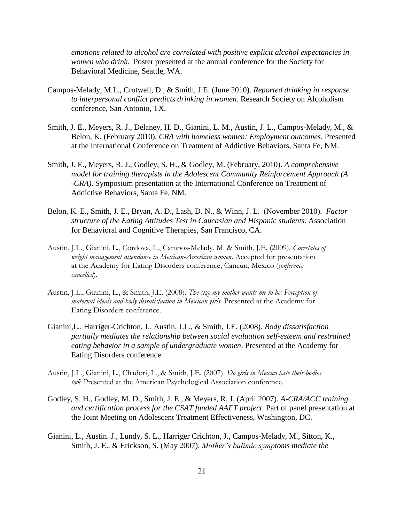*emotions related to alcohol are correlated with positive explicit alcohol expectancies in women who drink*. Poster presented at the annual conference for the Society for Behavioral Medicine, Seattle, WA.

- Campos-Melady, M.L., Crotwell, D., & Smith, J.E. (June 2010). *Reported drinking in response to interpersonal conflict predicts drinking in women*. Research Society on Alcoholism conference, San Antonio, TX.
- Smith, J. E., Meyers, R. J., Delaney, H. D., Gianini, L. M., Austin, J. L., Campos-Melady, M., & Belon, K. (February 2010). *CRA with homeless women: Employment outcomes*. Presented at the International Conference on Treatment of Addictive Behaviors, Santa Fe, NM.
- Smith, J. E., Meyers, R. J., Godley, S. H., & Godley, M. (February, 2010). *A comprehensive model for training therapists in the Adolescent Community Reinforcement Approach (A -CRA)*. Symposium presentation at the International Conference on Treatment of Addictive Behaviors, Santa Fe, NM.
- Belon, K. E., Smith, J. E., Bryan, A. D., Lash, D. N., & Winn, J. L. (November 2010). *Factor structure of the Eating Attitudes Test in Caucasian and Hispanic students*. Association for Behavioral and Cognitive Therapies, San Francisco, CA.
- Austin, J.L., Gianini, L., Cordova, L., Campos-Melady, M. & Smith, J.E. (2009). *Correlates of weight management attendance in Mexican-American women*. Accepted for presentation at the Academy for Eating Disorders conference, Cancun, Mexico (*conference cancelled*).
- Austin, J.L., Gianini, L., & Smith, J.E. (2008). *The size my mother wants me to be: Perception of maternal ideals and body dissatisfaction in Mexican girls*. Presented at the Academy for Eating Disorders conference.
- Gianini,L., Harriger-Crichton, J., Austin, J.L., & Smith, J.E. (2008). *Body dissatisfaction partially mediates the relationship between social evaluation self-esteem and restrained eating behavior in a sample of undergraduate women*. Presented at the Academy for Eating Disorders conference.
- Austin, J.L., Gianini, L., Chadori, L., & Smith, J.E. (2007). *Do girls in Mexico hate their bodies too*? Presented at the American Psychological Association conference.
- Godley, S. H., Godley, M. D., Smith, J. E., & Meyers, R. J. (April 2007). *A-CRA/ACC training and certification process for the CSAT funded AAFT project*. Part of panel presentation at the Joint Meeting on Adolescent Treatment Effectiveness, Washington, DC.
- Gianini, L., Austin. J., Lundy, S. L., Harriger Crichton, J., Campos-Melady, M., Sitton, K., Smith, J. E., & Erickson, S. (May 2007). *Mother's bulimic symptoms mediate the*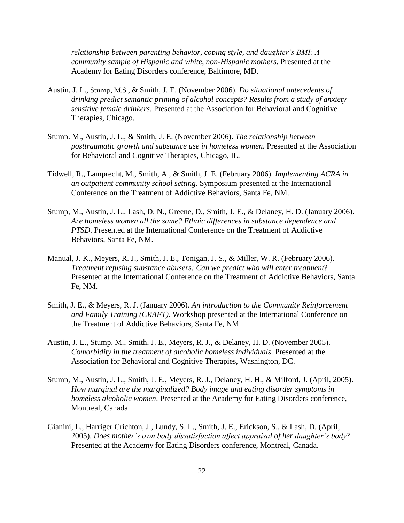*relationship between parenting behavior, coping style, and daughter's BMI: A community sample of Hispanic and white, non-Hispanic mothers*. Presented at the Academy for Eating Disorders conference, Baltimore, MD.

- Austin, J. L., Stump, M.S., & Smith, J. E. (November 2006). *Do situational antecedents of drinking predict semantic priming of alcohol concepts? Results from a study of anxiety sensitive female drinkers*. Presented at the Association for Behavioral and Cognitive Therapies, Chicago.
- Stump. M., Austin, J. L., & Smith, J. E. (November 2006). *The relationship between posttraumatic growth and substance use in homeless women*. Presented at the Association for Behavioral and Cognitive Therapies, Chicago, IL.
- Tidwell, R., Lamprecht, M., Smith, A., & Smith, J. E. (February 2006). *Implementing ACRA in an outpatient community school setting*. Symposium presented at the International Conference on the Treatment of Addictive Behaviors, Santa Fe, NM.
- Stump, M., Austin, J. L., Lash, D. N., Greene, D., Smith, J. E., & Delaney, H. D. (January 2006). *Are homeless women all the same? Ethnic differences in substance dependence and PTSD*. Presented at the International Conference on the Treatment of Addictive Behaviors, Santa Fe, NM.
- Manual, J. K., Meyers, R. J., Smith, J. E., Tonigan, J. S., & Miller, W. R. (February 2006). *Treatment refusing substance abusers: Can we predict who will enter treatment*? Presented at the International Conference on the Treatment of Addictive Behaviors, Santa Fe, NM.
- Smith, J. E., & Meyers, R. J. (January 2006). *An introduction to the Community Reinforcement and Family Training (CRAFT)*. Workshop presented at the International Conference on the Treatment of Addictive Behaviors, Santa Fe, NM.
- Austin, J. L., Stump, M., Smith, J. E., Meyers, R. J., & Delaney, H. D. (November 2005). *Comorbidity in the treatment of alcoholic homeless individuals*. Presented at the Association for Behavioral and Cognitive Therapies, Washington, DC.
- Stump, M., Austin, J. L., Smith, J. E., Meyers, R. J., Delaney, H. H., & Milford, J. (April, 2005). *How marginal are the marginalized? Body image and eating disorder symptoms in homeless alcoholic women*. Presented at the Academy for Eating Disorders conference, Montreal, Canada.
- Gianini, L., Harriger Crichton, J., Lundy, S. L., Smith, J. E., Erickson, S., & Lash, D. (April, 2005). *Does mother's own body dissatisfaction affect appraisal of her daughter's body*? Presented at the Academy for Eating Disorders conference, Montreal, Canada.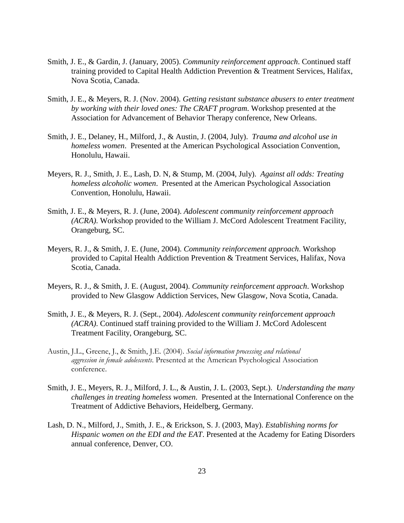- Smith, J. E., & Gardin, J. (January, 2005). *Community reinforcement approach*. Continued staff training provided to Capital Health Addiction Prevention & Treatment Services, Halifax, Nova Scotia, Canada.
- Smith, J. E., & Meyers, R. J. (Nov. 2004). *Getting resistant substance abusers to enter treatment by working with their loved ones: The CRAFT program*. Workshop presented at the Association for Advancement of Behavior Therapy conference, New Orleans.
- Smith, J. E., Delaney, H., Milford, J., & Austin, J. (2004, July). *Trauma and alcohol use in homeless women*. Presented at the American Psychological Association Convention, Honolulu, Hawaii.
- Meyers, R. J., Smith, J. E., Lash, D. N, & Stump, M. (2004, July). *Against all odds: Treating homeless alcoholic women*. Presented at the American Psychological Association Convention, Honolulu, Hawaii.
- Smith, J. E., & Meyers, R. J. (June, 2004). *Adolescent community reinforcement approach (ACRA)*. Workshop provided to the William J. McCord Adolescent Treatment Facility, Orangeburg, SC.
- Meyers, R. J., & Smith, J. E. (June, 2004). *Community reinforcement approach*. Workshop provided to Capital Health Addiction Prevention & Treatment Services, Halifax, Nova Scotia, Canada.
- Meyers, R. J., & Smith, J. E. (August, 2004). *Community reinforcement approach*. Workshop provided to New Glasgow Addiction Services, New Glasgow, Nova Scotia, Canada.
- Smith, J. E., & Meyers, R. J. (Sept., 2004). *Adolescent community reinforcement approach (ACRA)*. Continued staff training provided to the William J. McCord Adolescent Treatment Facility, Orangeburg, SC.
- Austin, J.L., Greene, J., & Smith, J.E. (2004). *Social information processing and relational aggression in female adolescents*. Presented at the American Psychological Association conference.
- Smith, J. E., Meyers, R. J., Milford, J. L., & Austin, J. L. (2003, Sept.). *Understanding the many challenges in treating homeless women*. Presented at the International Conference on the Treatment of Addictive Behaviors, Heidelberg, Germany.
- Lash, D. N., Milford, J., Smith, J. E., & Erickson, S. J. (2003, May). *Establishing norms for Hispanic women on the EDI and the EAT*. Presented at the Academy for Eating Disorders annual conference, Denver, CO.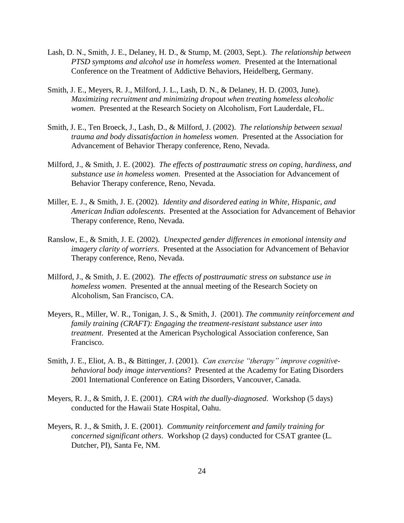- Lash, D. N., Smith, J. E., Delaney, H. D., & Stump, M. (2003, Sept.). *The relationship between PTSD symptoms and alcohol use in homeless women*. Presented at the International Conference on the Treatment of Addictive Behaviors, Heidelberg, Germany.
- Smith, J. E., Meyers, R. J., Milford, J. L., Lash, D. N., & Delaney, H. D. (2003, June). *Maximizing recruitment and minimizing dropout when treating homeless alcoholic women*. Presented at the Research Society on Alcoholism, Fort Lauderdale, FL.
- Smith, J. E., Ten Broeck, J., Lash, D., & Milford, J. (2002). *The relationship between sexual trauma and body dissatisfaction in homeless women*. Presented at the Association for Advancement of Behavior Therapy conference, Reno, Nevada.
- Milford, J., & Smith, J. E. (2002). *The effects of posttraumatic stress on coping, hardiness, and substance use in homeless women*. Presented at the Association for Advancement of Behavior Therapy conference, Reno, Nevada.
- Miller, E. J., & Smith, J. E. (2002). *Identity and disordered eating in White, Hispanic, and American Indian adolescents*. Presented at the Association for Advancement of Behavior Therapy conference, Reno, Nevada.
- Ranslow, E., & Smith, J. E. (2002). *Unexpected gender differences in emotional intensity and imagery clarity of worriers*. Presented at the Association for Advancement of Behavior Therapy conference, Reno, Nevada.
- Milford, J., & Smith, J. E. (2002). *The effects of posttraumatic stress on substance use in homeless women*. Presented at the annual meeting of the Research Society on Alcoholism, San Francisco, CA.
- Meyers, R., Miller, W. R., Tonigan, J. S., & Smith, J. (2001). *The community reinforcement and family training (CRAFT): Engaging the treatment-resistant substance user into treatment*. Presented at the American Psychological Association conference, San Francisco.
- Smith, J. E., Eliot, A. B., & Bittinger, J. (2001). *Can exercise "therapy" improve cognitivebehavioral body image interventions*? Presented at the Academy for Eating Disorders 2001 International Conference on Eating Disorders, Vancouver, Canada.
- Meyers, R. J., & Smith, J. E. (2001). *CRA with the dually-diagnosed*. Workshop (5 days) conducted for the Hawaii State Hospital, Oahu.
- Meyers, R. J., & Smith, J. E. (2001). *Community reinforcement and family training for concerned significant others*. Workshop (2 days) conducted for CSAT grantee (L. Dutcher, PI), Santa Fe, NM.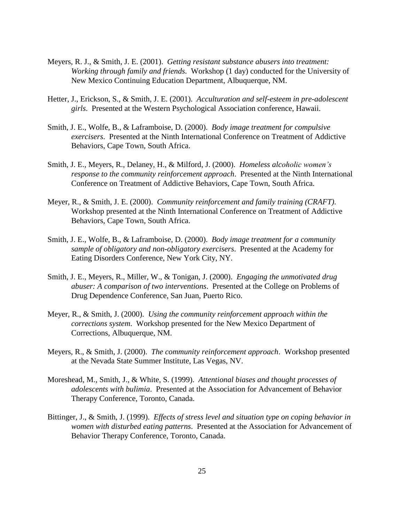- Meyers, R. J., & Smith, J. E. (2001). *Getting resistant substance abusers into treatment: Working through family and friends*. Workshop (1 day) conducted for the University of New Mexico Continuing Education Department, Albuquerque, NM.
- Hetter, J., Erickson, S., & Smith, J. E. (2001). *Acculturation and self-esteem in pre-adolescent girls*. Presented at the Western Psychological Association conference, Hawaii.
- Smith, J. E., Wolfe, B., & Laframboise, D. (2000). *Body image treatment for compulsive exercisers*. Presented at the Ninth International Conference on Treatment of Addictive Behaviors, Cape Town, South Africa.
- Smith, J. E., Meyers, R., Delaney, H., & Milford, J. (2000). *Homeless alcoholic women's response to the community reinforcement approach*. Presented at the Ninth International Conference on Treatment of Addictive Behaviors, Cape Town, South Africa.
- Meyer, R., & Smith, J. E. (2000). *Community reinforcement and family training (CRAFT)*. Workshop presented at the Ninth International Conference on Treatment of Addictive Behaviors, Cape Town, South Africa.
- Smith, J. E., Wolfe, B., & Laframboise, D. (2000). *Body image treatment for a community sample of obligatory and non-obligatory exercisers*. Presented at the Academy for Eating Disorders Conference, New York City, NY.
- Smith, J. E., Meyers, R., Miller, W., & Tonigan, J. (2000). *Engaging the unmotivated drug abuser: A comparison of two interventions*. Presented at the College on Problems of Drug Dependence Conference, San Juan, Puerto Rico.
- Meyer, R., & Smith, J. (2000). *Using the community reinforcement approach within the corrections system*. Workshop presented for the New Mexico Department of Corrections, Albuquerque, NM.
- Meyers, R., & Smith, J. (2000). *The community reinforcement approach*. Workshop presented at the Nevada State Summer Institute, Las Vegas, NV.
- Moreshead, M., Smith, J., & White, S. (1999). *Attentional biases and thought processes of adolescents with bulimia*. Presented at the Association for Advancement of Behavior Therapy Conference, Toronto, Canada.
- Bittinger, J., & Smith, J. (1999). *Effects of stress level and situation type on coping behavior in women with disturbed eating patterns*. Presented at the Association for Advancement of Behavior Therapy Conference, Toronto, Canada.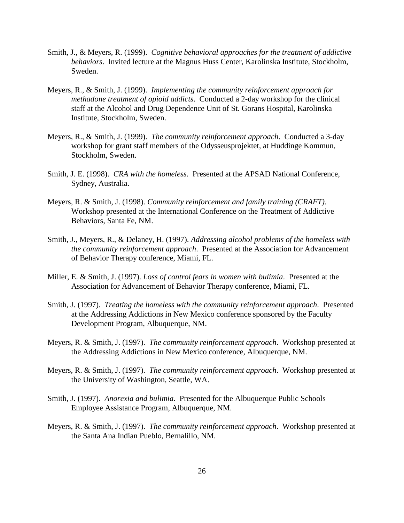- Smith, J., & Meyers, R. (1999). *Cognitive behavioral approaches for the treatment of addictive behaviors*. Invited lecture at the Magnus Huss Center, Karolinska Institute, Stockholm, Sweden.
- Meyers, R., & Smith, J. (1999). *Implementing the community reinforcement approach for methadone treatment of opioid addicts*. Conducted a 2-day workshop for the clinical staff at the Alcohol and Drug Dependence Unit of St. Gorans Hospital, Karolinska Institute, Stockholm, Sweden.
- Meyers, R., & Smith, J. (1999). *The community reinforcement approach*. Conducted a 3-day workshop for grant staff members of the Odysseusprojektet, at Huddinge Kommun, Stockholm, Sweden.
- Smith, J. E. (1998). *CRA with the homeless*. Presented at the APSAD National Conference, Sydney, Australia.
- Meyers, R. & Smith, J. (1998). *Community reinforcement and family training (CRAFT)*. Workshop presented at the International Conference on the Treatment of Addictive Behaviors, Santa Fe, NM.
- Smith, J., Meyers, R., & Delaney, H. (1997). *Addressing alcohol problems of the homeless with the community reinforcement approach*. Presented at the Association for Advancement of Behavior Therapy conference, Miami, FL.
- Miller, E. & Smith, J. (1997). *Loss of control fears in women with bulimia*. Presented at the Association for Advancement of Behavior Therapy conference, Miami, FL.
- Smith, J. (1997). *Treating the homeless with the community reinforcement approach*. Presented at the Addressing Addictions in New Mexico conference sponsored by the Faculty Development Program, Albuquerque, NM.
- Meyers, R. & Smith, J. (1997). *The community reinforcement approach*. Workshop presented at the Addressing Addictions in New Mexico conference, Albuquerque, NM.
- Meyers, R. & Smith, J. (1997). *The community reinforcement approach*. Workshop presented at the University of Washington, Seattle, WA.
- Smith, J. (1997). *Anorexia and bulimia*. Presented for the Albuquerque Public Schools Employee Assistance Program, Albuquerque, NM.
- Meyers, R. & Smith, J. (1997). *The community reinforcement approach*. Workshop presented at the Santa Ana Indian Pueblo, Bernalillo, NM.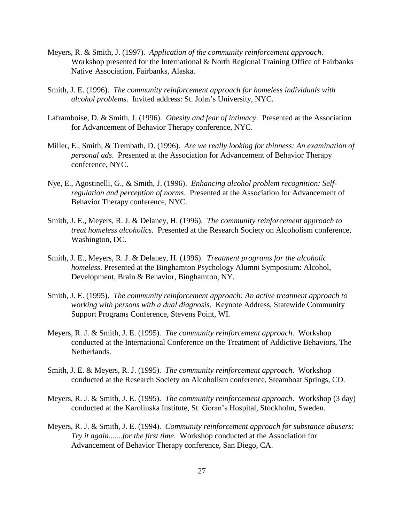- Meyers, R. & Smith, J. (1997). *Application of the community reinforcement approach*. Workshop presented for the International & North Regional Training Office of Fairbanks Native Association, Fairbanks, Alaska.
- Smith, J. E. (1996). *The community reinforcement approach for homeless individuals with alcohol problems*. Invited address: St. John's University, NYC.
- Laframboise, D. & Smith, J. (1996). *Obesity and fear of intimacy*. Presented at the Association for Advancement of Behavior Therapy conference, NYC.
- Miller, E., Smith, & Trembath, D. (1996). *Are we really looking for thinness: An examination of personal ads*. Presented at the Association for Advancement of Behavior Therapy conference, NYC.
- Nye, E., Agostinelli, G., & Smith, J. (1996). *Enhancing alcohol problem recognition: Selfregulation and perception of norms*. Presented at the Association for Advancement of Behavior Therapy conference, NYC.
- Smith, J. E., Meyers, R. J. & Delaney, H. (1996). *The community reinforcement approach to treat homeless alcoholics*. Presented at the Research Society on Alcoholism conference, Washington, DC.
- Smith, J. E., Meyers, R. J. & Delaney, H. (1996). *Treatment programs for the alcoholic homeless*. Presented at the Binghamton Psychology Alumni Symposium: Alcohol, Development, Brain & Behavior, Binghamton, NY.
- Smith, J. E. (1995). *The community reinforcement approach: An active treatment approach to working with persons with a dual diagnosis*. Keynote Address, Statewide Community Support Programs Conference, Stevens Point, WI.
- Meyers, R. J. & Smith, J. E. (1995). *The community reinforcement approach*. Workshop conducted at the International Conference on the Treatment of Addictive Behaviors, The Netherlands.
- Smith, J. E. & Meyers, R. J. (1995). *The community reinforcement approach*. Workshop conducted at the Research Society on Alcoholism conference, Steamboat Springs, CO.
- Meyers, R. J. & Smith, J. E. (1995). *The community reinforcement approach*. Workshop (3 day) conducted at the Karolinska Institute, St. Goran's Hospital, Stockholm, Sweden.
- Meyers, R. J. & Smith, J. E. (1994). *Community reinforcement approach for substance abusers: Try it again.......for the first time*. Workshop conducted at the Association for Advancement of Behavior Therapy conference, San Diego, CA.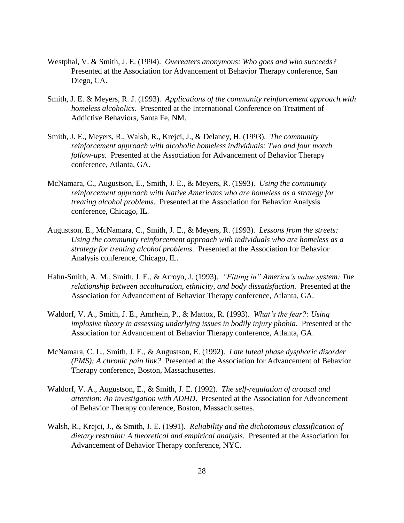- Westphal, V. & Smith, J. E. (1994). *Overeaters anonymous: Who goes and who succeeds?* Presented at the Association for Advancement of Behavior Therapy conference, San Diego, CA.
- Smith, J. E. & Meyers, R. J. (1993). *Applications of the community reinforcement approach with homeless alcoholics*. Presented at the International Conference on Treatment of Addictive Behaviors, Santa Fe, NM.
- Smith, J. E., Meyers, R., Walsh, R., Krejci, J., & Delaney, H. (1993). *The community reinforcement approach with alcoholic homeless individuals: Two and four month follow-ups*. Presented at the Association for Advancement of Behavior Therapy conference, Atlanta, GA.
- McNamara, C., Augustson, E., Smith, J. E., & Meyers, R. (1993). *Using the community reinforcement approach with Native Americans who are homeless as a strategy for treating alcohol problems*. Presented at the Association for Behavior Analysis conference, Chicago, IL.
- Augustson, E., McNamara, C., Smith, J. E., & Meyers, R. (1993). *Lessons from the streets: Using the community reinforcement approach with individuals who are homeless as a strategy for treating alcohol problems*. Presented at the Association for Behavior Analysis conference, Chicago, IL.
- Hahn-Smith, A. M., Smith, J. E., & Arroyo, J. (1993). *"Fitting in" America's value system: The relationship between acculturation, ethnicity, and body dissatisfaction*. Presented at the Association for Advancement of Behavior Therapy conference, Atlanta, GA.
- Waldorf, V. A., Smith, J. E., Amrhein, P., & Mattox, R. (1993). *What's the fear?: Using implosive theory in assessing underlying issues in bodily injury phobia*. Presented at the Association for Advancement of Behavior Therapy conference, Atlanta, GA.
- McNamara, C. L., Smith, J. E., & Augustson, E. (1992). *Late luteal phase dysphoric disorder (PMS): A chronic pain link?* Presented at the Association for Advancement of Behavior Therapy conference, Boston, Massachusettes.
- Waldorf, V. A., Augustson, E., & Smith, J. E. (1992). *The self-regulation of arousal and attention: An investigation with ADHD*. Presented at the Association for Advancement of Behavior Therapy conference, Boston, Massachusettes.
- Walsh, R., Krejci, J., & Smith, J. E. (1991). *Reliability and the dichotomous classification of dietary restraint: A theoretical and empirical analysis*. Presented at the Association for Advancement of Behavior Therapy conference, NYC.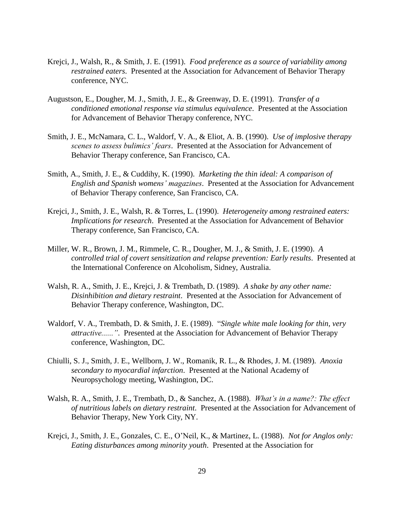- Krejci, J., Walsh, R., & Smith, J. E. (1991). *Food preference as a source of variability among restrained eaters*. Presented at the Association for Advancement of Behavior Therapy conference, NYC.
- Augustson, E., Dougher, M. J., Smith, J. E., & Greenway, D. E. (1991). *Transfer of a conditioned emotional response via stimulus equivalence*. Presented at the Association for Advancement of Behavior Therapy conference, NYC.
- Smith, J. E., McNamara, C. L., Waldorf, V. A., & Eliot, A. B. (1990). *Use of implosive therapy scenes to assess bulimics' fears*. Presented at the Association for Advancement of Behavior Therapy conference, San Francisco, CA.
- Smith, A., Smith, J. E., & Cuddihy, K. (1990). *Marketing the thin ideal: A comparison of English and Spanish womens' magazines*. Presented at the Association for Advancement of Behavior Therapy conference, San Francisco, CA.
- Krejci, J., Smith, J. E., Walsh, R. & Torres, L. (1990). *Heterogeneity among restrained eaters: Implications for research*. Presented at the Association for Advancement of Behavior Therapy conference, San Francisco, CA.
- Miller, W. R., Brown, J. M., Rimmele, C. R., Dougher, M. J., & Smith, J. E. (1990). *A controlled trial of covert sensitization and relapse prevention: Early results*. Presented at the International Conference on Alcoholism, Sidney, Australia.
- Walsh, R. A., Smith, J. E., Krejci, J. & Trembath, D. (1989). *A shake by any other name: Disinhibition and dietary restraint*. Presented at the Association for Advancement of Behavior Therapy conference, Washington, DC.
- Waldorf, V. A., Trembath, D. & Smith, J. E. (1989). "*Single white male looking for thin, very attractive......"*. Presented at the Association for Advancement of Behavior Therapy conference, Washington, DC.
- Chiulli, S. J., Smith, J. E., Wellborn, J. W., Romanik, R. L., & Rhodes, J. M. (1989). *Anoxia secondary to myocardial infarction*. Presented at the National Academy of Neuropsychology meeting, Washington, DC.
- Walsh, R. A., Smith, J. E., Trembath, D., & Sanchez, A. (1988). *What's in a name?: The effect of nutritious labels on dietary restraint*. Presented at the Association for Advancement of Behavior Therapy, New York City, NY.
- Krejci, J., Smith, J. E., Gonzales, C. E., O'Neil, K., & Martinez, L. (1988). *Not for Anglos only: Eating disturbances among minority youth*. Presented at the Association for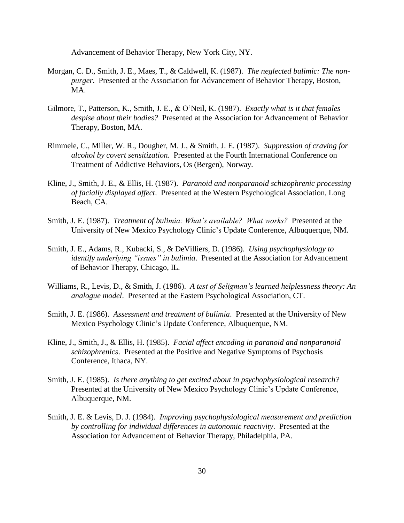Advancement of Behavior Therapy, New York City, NY.

- Morgan, C. D., Smith, J. E., Maes, T., & Caldwell, K. (1987). *The neglected bulimic: The nonpurger*. Presented at the Association for Advancement of Behavior Therapy, Boston, MA.
- Gilmore, T., Patterson, K., Smith, J. E., & O'Neil, K. (1987). *Exactly what is it that females despise about their bodies?* Presented at the Association for Advancement of Behavior Therapy, Boston, MA.
- Rimmele, C., Miller, W. R., Dougher, M. J., & Smith, J. E. (1987). *Suppression of craving for alcohol by covert sensitization*. Presented at the Fourth International Conference on Treatment of Addictive Behaviors, Os (Bergen), Norway.
- Kline, J., Smith, J. E., & Ellis, H. (1987). *Paranoid and nonparanoid schizophrenic processing of facially displayed affect*. Presented at the Western Psychological Association, Long Beach, CA.
- Smith, J. E. (1987). *Treatment of bulimia: What's available? What works?* Presented at the University of New Mexico Psychology Clinic's Update Conference, Albuquerque, NM.
- Smith, J. E., Adams, R., Kubacki, S., & DeVilliers, D. (1986). *Using psychophysiology to identify underlying "issues" in bulimia*. Presented at the Association for Advancement of Behavior Therapy, Chicago, IL.
- Williams, R., Levis, D., & Smith, J. (1986). *A test of Seligman's learned helplessness theory: An analogue model*. Presented at the Eastern Psychological Association, CT.
- Smith, J. E. (1986). *Assessment and treatment of bulimia*. Presented at the University of New Mexico Psychology Clinic's Update Conference, Albuquerque, NM.
- Kline, J., Smith, J., & Ellis, H. (1985). *Facial affect encoding in paranoid and nonparanoid schizophrenics*. Presented at the Positive and Negative Symptoms of Psychosis Conference, Ithaca, NY.
- Smith, J. E. (1985). *Is there anything to get excited about in psychophysiological research?* Presented at the University of New Mexico Psychology Clinic's Update Conference, Albuquerque, NM.
- Smith, J. E. & Levis, D. J. (1984). *Improving psychophysiological measurement and prediction by controlling for individual differences in autonomic reactivity*. Presented at the Association for Advancement of Behavior Therapy, Philadelphia, PA.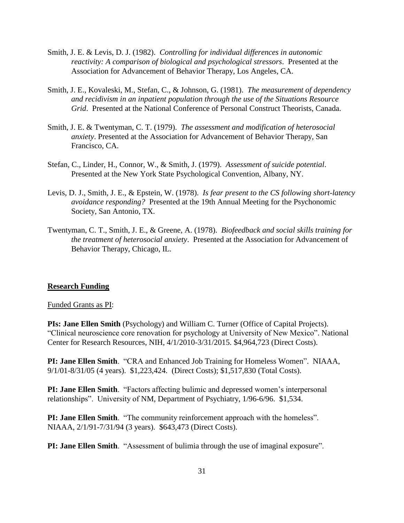- Smith, J. E. & Levis, D. J. (1982). *Controlling for individual differences in autonomic reactivity: A comparison of biological and psychological stressors*. Presented at the Association for Advancement of Behavior Therapy, Los Angeles, CA.
- Smith, J. E., Kovaleski, M., Stefan, C., & Johnson, G. (1981). *The measurement of dependency and recidivism in an inpatient population through the use of the Situations Resource Grid*. Presented at the National Conference of Personal Construct Theorists, Canada.
- Smith, J. E. & Twentyman, C. T. (1979). *The assessment and modification of heterosocial anxiety*. Presented at the Association for Advancement of Behavior Therapy, San Francisco, CA.
- Stefan, C., Linder, H., Connor, W., & Smith, J. (1979). *Assessment of suicide potential*. Presented at the New York State Psychological Convention, Albany, NY.
- Levis, D. J., Smith, J. E., & Epstein, W. (1978). *Is fear present to the CS following short-latency avoidance responding?* Presented at the 19th Annual Meeting for the Psychonomic Society, San Antonio, TX.
- Twentyman, C. T., Smith, J. E., & Greene, A. (1978). *Biofeedback and social skills training for the treatment of heterosocial anxiety*. Presented at the Association for Advancement of Behavior Therapy, Chicago, IL.

#### **Research Funding**

Funded Grants as PI:

**PIs: Jane Ellen Smith** (Psychology) and William C. Turner (Office of Capital Projects). "Clinical neuroscience core renovation for psychology at University of New Mexico". National Center for Research Resources, NIH, 4/1/2010-3/31/2015. \$4,964,723 (Direct Costs).

**PI: Jane Ellen Smith**. "CRA and Enhanced Job Training for Homeless Women". NIAAA, 9/1/01-8/31/05 (4 years). \$1,223,424. (Direct Costs); \$1,517,830 (Total Costs).

**PI: Jane Ellen Smith**. "Factors affecting bulimic and depressed women's interpersonal relationships". University of NM, Department of Psychiatry, 1/96-6/96. \$1,534.

**PI: Jane Ellen Smith**. "The community reinforcement approach with the homeless". NIAAA, 2/1/91-7/31/94 (3 years). \$643,473 (Direct Costs).

**PI: Jane Ellen Smith**. "Assessment of bulimia through the use of imaginal exposure".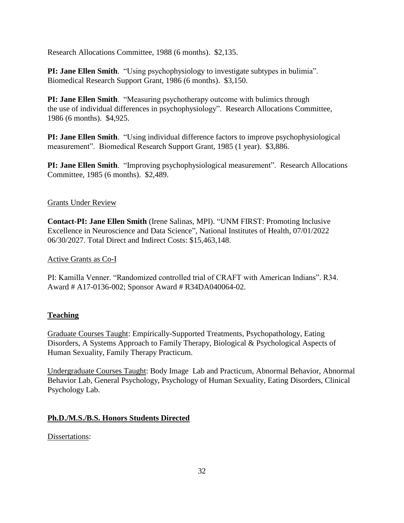Research Allocations Committee, 1988 (6 months). \$2,135.

**PI: Jane Ellen Smith**. "Using psychophysiology to investigate subtypes in bulimia". Biomedical Research Support Grant, 1986 (6 months). \$3,150.

**PI: Jane Ellen Smith**. "Measuring psychotherapy outcome with bulimics through the use of individual differences in psychophysiology". Research Allocations Committee, 1986 (6 months). \$4,925.

**PI: Jane Ellen Smith**. "Using individual difference factors to improve psychophysiological measurement". Biomedical Research Support Grant, 1985 (1 year). \$3,886.

**PI: Jane Ellen Smith**. "Improving psychophysiological measurement". Research Allocations Committee, 1985 (6 months). \$2,489.

# Grants Under Review

**Contact-PI: Jane Ellen Smith** (Irene Salinas, MPI). "UNM FIRST: Promoting Inclusive Excellence in Neuroscience and Data Science", National Institutes of Health, 07/01/2022 06/30/2027. Total Direct and Indirect Costs: \$15,463,148.

# Active Grants as Co-I

PI: Kamilla Venner. "Randomized controlled trial of CRAFT with American Indians". R34. Award # A17-0136-002; Sponsor Award # R34DA040064-02.

# **Teaching**

Graduate Courses Taught: Empirically-Supported Treatments, Psychopathology, Eating Disorders, A Systems Approach to Family Therapy, Biological & Psychological Aspects of Human Sexuality, Family Therapy Practicum.

Undergraduate Courses Taught: Body Image Lab and Practicum, Abnormal Behavior, Abnormal Behavior Lab, General Psychology, Psychology of Human Sexuality, Eating Disorders, Clinical Psychology Lab.

# **Ph.D./M.S./B.S. Honors Students Directed**

Dissertations: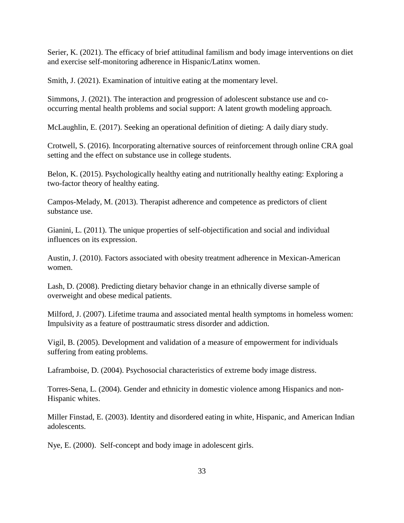Serier, K. (2021). The efficacy of brief attitudinal familism and body image interventions on diet and exercise self-monitoring adherence in Hispanic/Latinx women.

Smith, J. (2021). Examination of intuitive eating at the momentary level.

Simmons, J. (2021). The interaction and progression of adolescent substance use and cooccurring mental health problems and social support: A latent growth modeling approach.

McLaughlin, E. (2017). Seeking an operational definition of dieting: A daily diary study.

Crotwell, S. (2016). Incorporating alternative sources of reinforcement through online CRA goal setting and the effect on substance use in college students.

Belon, K. (2015). Psychologically healthy eating and nutritionally healthy eating: Exploring a two-factor theory of healthy eating.

Campos-Melady, M. (2013). Therapist adherence and competence as predictors of client substance use.

Gianini, L. (2011). The unique properties of self-objectification and social and individual influences on its expression.

Austin, J. (2010). Factors associated with obesity treatment adherence in Mexican-American women.

Lash, D. (2008). Predicting dietary behavior change in an ethnically diverse sample of overweight and obese medical patients.

Milford, J. (2007). Lifetime trauma and associated mental health symptoms in homeless women: Impulsivity as a feature of posttraumatic stress disorder and addiction.

Vigil, B. (2005). Development and validation of a measure of empowerment for individuals suffering from eating problems.

Laframboise, D. (2004). Psychosocial characteristics of extreme body image distress.

Torres-Sena, L. (2004). Gender and ethnicity in domestic violence among Hispanics and non-Hispanic whites.

Miller Finstad, E. (2003). Identity and disordered eating in white, Hispanic, and American Indian adolescents.

Nye, E. (2000). Self-concept and body image in adolescent girls.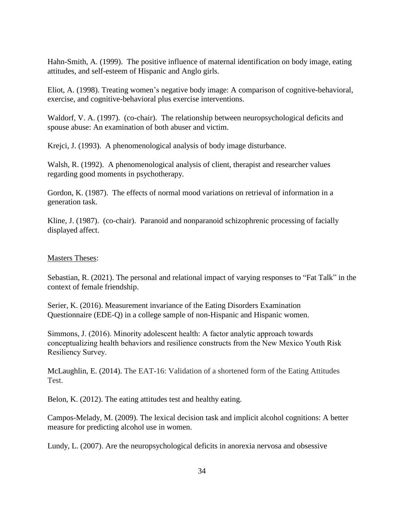Hahn-Smith, A. (1999). The positive influence of maternal identification on body image, eating attitudes, and self-esteem of Hispanic and Anglo girls.

Eliot, A. (1998). Treating women's negative body image: A comparison of cognitive-behavioral, exercise, and cognitive-behavioral plus exercise interventions.

Waldorf, V. A. (1997). (co-chair). The relationship between neuropsychological deficits and spouse abuse: An examination of both abuser and victim.

Krejci, J. (1993). A phenomenological analysis of body image disturbance.

Walsh, R. (1992). A phenomenological analysis of client, therapist and researcher values regarding good moments in psychotherapy.

Gordon, K. (1987). The effects of normal mood variations on retrieval of information in a generation task.

Kline, J. (1987). (co-chair). Paranoid and nonparanoid schizophrenic processing of facially displayed affect.

### Masters Theses:

Sebastian, R. (2021). The personal and relational impact of varying responses to "Fat Talk" in the context of female friendship.

Serier, K. (2016). Measurement invariance of the Eating Disorders Examination Questionnaire (EDE-Q) in a college sample of non-Hispanic and Hispanic women.

Simmons, J. (2016). Minority adolescent health: A factor analytic approach towards conceptualizing health behaviors and resilience constructs from the New Mexico Youth Risk Resiliency Survey.

McLaughlin, E. (2014). The EAT-16: Validation of a shortened form of the Eating Attitudes Test.

Belon, K. (2012). The eating attitudes test and healthy eating.

Campos-Melady, M. (2009). The lexical decision task and implicit alcohol cognitions: A better measure for predicting alcohol use in women.

Lundy, L. (2007). Are the neuropsychological deficits in anorexia nervosa and obsessive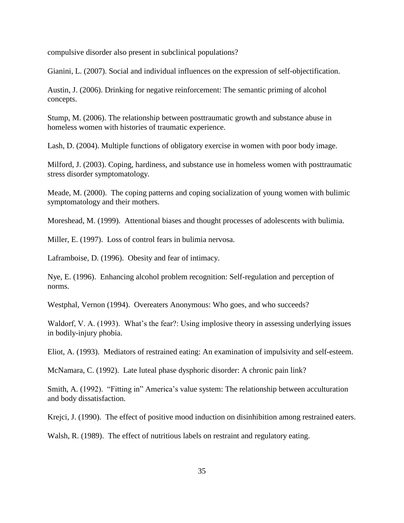compulsive disorder also present in subclinical populations?

Gianini, L. (2007). Social and individual influences on the expression of self-objectification.

Austin, J. (2006). Drinking for negative reinforcement: The semantic priming of alcohol concepts.

Stump, M. (2006). The relationship between posttraumatic growth and substance abuse in homeless women with histories of traumatic experience.

Lash, D. (2004). Multiple functions of obligatory exercise in women with poor body image.

Milford, J. (2003). Coping, hardiness, and substance use in homeless women with posttraumatic stress disorder symptomatology.

Meade, M. (2000). The coping patterns and coping socialization of young women with bulimic symptomatology and their mothers.

Moreshead, M. (1999). Attentional biases and thought processes of adolescents with bulimia.

Miller, E. (1997). Loss of control fears in bulimia nervosa.

Laframboise, D. (1996). Obesity and fear of intimacy.

Nye, E. (1996). Enhancing alcohol problem recognition: Self-regulation and perception of norms.

Westphal, Vernon (1994). Overeaters Anonymous: Who goes, and who succeeds?

Waldorf, V. A. (1993). What's the fear?: Using implosive theory in assessing underlying issues in bodily-injury phobia.

Eliot, A. (1993). Mediators of restrained eating: An examination of impulsivity and self-esteem.

McNamara, C. (1992). Late luteal phase dysphoric disorder: A chronic pain link?

Smith, A. (1992). "Fitting in" America's value system: The relationship between acculturation and body dissatisfaction.

Krejci, J. (1990). The effect of positive mood induction on disinhibition among restrained eaters.

Walsh, R. (1989). The effect of nutritious labels on restraint and regulatory eating.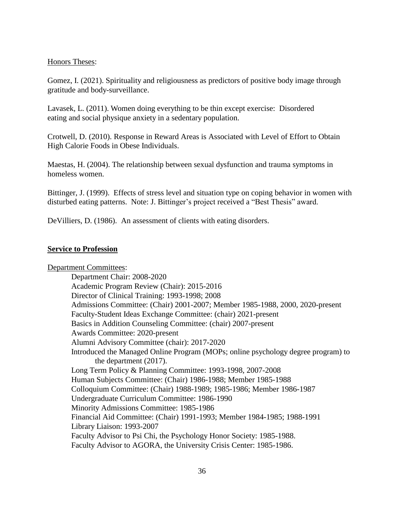#### Honors Theses:

Gomez, I. (2021). Spirituality and religiousness as predictors of positive body image through gratitude and body-surveillance.

Lavasek, L. (2011). Women doing everything to be thin except exercise: Disordered eating and social physique anxiety in a sedentary population.

Crotwell, D. (2010). Response in Reward Areas is Associated with Level of Effort to Obtain High Calorie Foods in Obese Individuals.

Maestas, H. (2004). The relationship between sexual dysfunction and trauma symptoms in homeless women.

Bittinger, J. (1999). Effects of stress level and situation type on coping behavior in women with disturbed eating patterns. Note: J. Bittinger's project received a "Best Thesis" award.

DeVilliers, D. (1986). An assessment of clients with eating disorders.

#### **Service to Profession**

Department Committees: Department Chair: 2008-2020 Academic Program Review (Chair): 2015-2016 Director of Clinical Training: 1993-1998; 2008 Admissions Committee: (Chair) 2001-2007; Member 1985-1988, 2000, 2020-present Faculty-Student Ideas Exchange Committee: (chair) 2021-present Basics in Addition Counseling Committee: (chair) 2007-present Awards Committee: 2020-present Alumni Advisory Committee (chair): 2017-2020 Introduced the Managed Online Program (MOPs; online psychology degree program) to the department (2017). Long Term Policy & Planning Committee: 1993-1998, 2007-2008 Human Subjects Committee: (Chair) 1986-1988; Member 1985-1988 Colloquium Committee: (Chair) 1988-1989; 1985-1986; Member 1986-1987 Undergraduate Curriculum Committee: 1986-1990 Minority Admissions Committee: 1985-1986 Financial Aid Committee: (Chair) 1991-1993; Member 1984-1985; 1988-1991 Library Liaison: 1993-2007 Faculty Advisor to Psi Chi, the Psychology Honor Society: 1985-1988. Faculty Advisor to AGORA, the University Crisis Center: 1985-1986.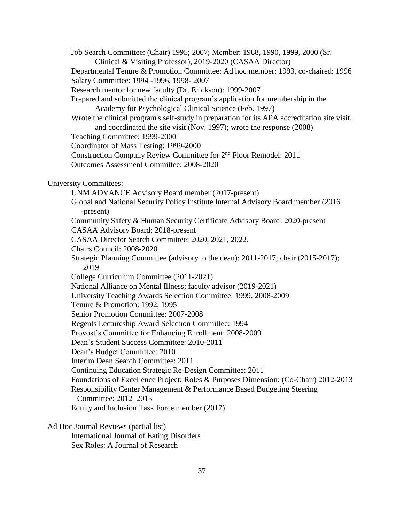Job Search Committee: (Chair) 1995; 2007; Member: 1988, 1990, 1999, 2000 (Sr. Clinical & Visiting Professor), 2019-2020 (CASAA Director)

Departmental Tenure & Promotion Committee: Ad hoc member: 1993, co-chaired: 1996 Salary Committee: 1994 -1996, 1998- 2007

Research mentor for new faculty (Dr. Erickson): 1999-2007

Prepared and submitted the clinical program's application for membership in the Academy for Psychological Clinical Science (Feb. 1997)

Wrote the clinical program's self-study in preparation for its APA accreditation site visit, and coordinated the site visit (Nov. 1997); wrote the response (2008)

Teaching Committee: 1999-2000

Coordinator of Mass Testing: 1999-2000

Construction Company Review Committee for 2nd Floor Remodel: 2011

Outcomes Assessment Committee: 2008-2020

University Committees:

UNM ADVANCE Advisory Board member (2017-present) Global and National Security Policy Institute Internal Advisory Board member (2016 -present) Community Safety & Human Security Certificate Advisory Board: 2020-present CASAA Advisory Board; 2018-present CASAA Director Search Committee: 2020, 2021, 2022. Chairs Council: 2008-2020 Strategic Planning Committee (advisory to the dean): 2011-2017; chair (2015-2017); 2019 College Curriculum Committee (2011-2021) National Alliance on Mental Illness; faculty advisor (2019-2021) University Teaching Awards Selection Committee: 1999, 2008-2009 Tenure & Promotion: 1992, 1995 Senior Promotion Committee: 2007-2008 Regents Lectureship Award Selection Committee: 1994 Provost's Committee for Enhancing Enrollment: 2008-2009 Dean's Student Success Committee: 2010-2011 Dean's Budget Committee: 2010 Interim Dean Search Committee: 2011 Continuing Education Strategic Re-Design Committee: 2011 Foundations of Excellence Project; Roles & Purposes Dimension: (Co-Chair) 2012-2013 Responsibility Center Management & Performance Based Budgeting Steering Committee: 2012–2015 Equity and Inclusion Task Force member (2017)

Ad Hoc Journal Reviews (partial list)

International Journal of Eating Disorders Sex Roles: A Journal of Research